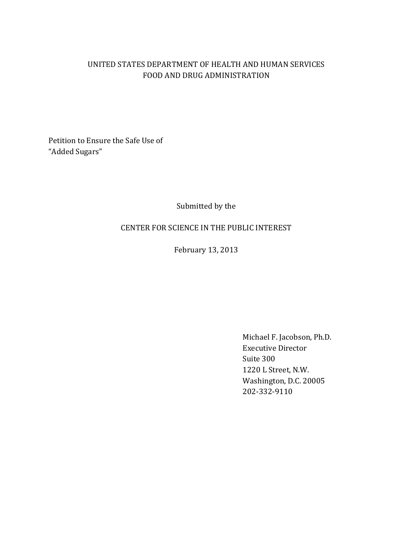# UNITED STATES DEPARTMENT OF HEALTH AND HUMAN SERVICES FOOD AND DRUG ADMINISTRATION

Petition to Ensure the Safe Use of "Added Sugars"

Submitted by the

# CENTER FOR SCIENCE IN THE PUBLIC INTEREST

February 13, 2013

Michael F. Jacobson, Ph.D. Executive Director Suite 300 1220 L Street, N.W. Washington, D.C. 20005 202-332-9110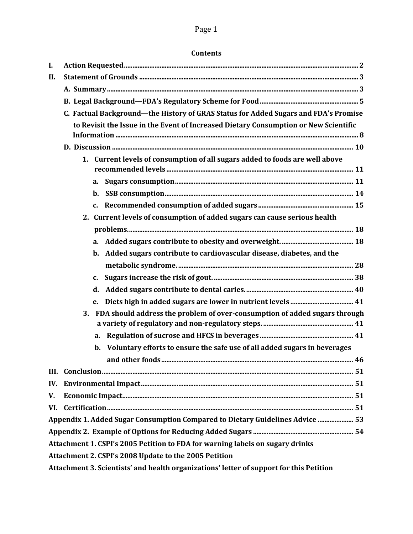## **Contents**

| I.  |                                                                                      |  |  |  |  |
|-----|--------------------------------------------------------------------------------------|--|--|--|--|
| II. |                                                                                      |  |  |  |  |
|     |                                                                                      |  |  |  |  |
|     |                                                                                      |  |  |  |  |
|     | C. Factual Background-the History of GRAS Status for Added Sugars and FDA's Promise  |  |  |  |  |
|     | to Revisit the Issue in the Event of Increased Dietary Consumption or New Scientific |  |  |  |  |
|     |                                                                                      |  |  |  |  |
|     |                                                                                      |  |  |  |  |
|     | 1. Current levels of consumption of all sugars added to foods are well above         |  |  |  |  |
|     |                                                                                      |  |  |  |  |
|     | a.                                                                                   |  |  |  |  |
|     |                                                                                      |  |  |  |  |
|     | $c_{\cdot}$                                                                          |  |  |  |  |
|     | 2. Current levels of consumption of added sugars can cause serious health            |  |  |  |  |
|     |                                                                                      |  |  |  |  |
|     |                                                                                      |  |  |  |  |
|     | Added sugars contribute to cardiovascular disease, diabetes, and the<br>b.           |  |  |  |  |
|     |                                                                                      |  |  |  |  |
|     | $\mathbf{c}$ .                                                                       |  |  |  |  |
|     | d.                                                                                   |  |  |  |  |
|     | e.                                                                                   |  |  |  |  |
|     | FDA should address the problem of over-consumption of added sugars through<br>3.     |  |  |  |  |
|     |                                                                                      |  |  |  |  |
|     | a.                                                                                   |  |  |  |  |
|     | b. Voluntary efforts to ensure the safe use of all added sugars in beverages         |  |  |  |  |
|     |                                                                                      |  |  |  |  |
|     |                                                                                      |  |  |  |  |
| IV. |                                                                                      |  |  |  |  |
| V.  |                                                                                      |  |  |  |  |
|     |                                                                                      |  |  |  |  |
|     | Appendix 1. Added Sugar Consumption Compared to Dietary Guidelines Advice  53        |  |  |  |  |
|     |                                                                                      |  |  |  |  |
|     | Attachment 1. CSPI's 2005 Petition to FDA for warning labels on sugary drinks        |  |  |  |  |
|     | Attachment 2. CSPI's 2008 Update to the 2005 Petition                                |  |  |  |  |

**Attachment 3. Scientists' and health organizations' letter of support for this Petition**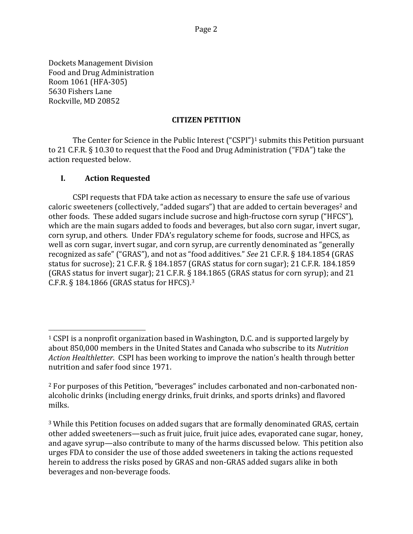Dockets Management Division Food and Drug Administration Room 1061 (HFA-305) 5630 Fishers Lane Rockville, MD 20852

#### **CITIZEN PETITION**

The Center for Science in the Public Interest ("CSPI")<sup>[1](#page-2-1)</sup> submits this Petition pursuant to 21 C.F.R. § 10.30 to request that the Food and Drug Administration ("FDA") take the action requested below.

## <span id="page-2-0"></span>**I. Action Requested**

CSPI requests that FDA take action as necessary to ensure the safe use of various caloric sweeteners (collectively, "added sugars") that are added to certain beverages<sup>[2](#page-2-2)</sup> and other foods. These added sugars include sucrose and high-fructose corn syrup ("HFCS"), which are the main sugars added to foods and beverages, but also corn sugar, invert sugar, corn syrup, and others. Under FDA's regulatory scheme for foods, sucrose and HFCS, as well as corn sugar, invert sugar, and corn syrup, are currently denominated as "generally recognized as safe" ("GRAS"), and not as "food additives." *See* 21 C.F.R. § 184.1854 (GRAS status for sucrose); 21 C.F.R. § 184.1857 (GRAS status for corn sugar); 21 C.F.R. 184.1859 (GRAS status for invert sugar); 21 C.F.R. § 184.1865 (GRAS status for corn syrup); and 21 C.F.R. § 184.1866 (GRAS status for HFCS).[3](#page-2-3)

<span id="page-2-1"></span><sup>1</sup> CSPI is a nonprofit organization based in Washington, D.C. and is supported largely by about 850,000 members in the United States and Canada who subscribe to its *Nutrition Action Healthletter*. CSPI has been working to improve the nation's health through better nutrition and safer food since 1971. i<br>I

<span id="page-2-2"></span><sup>2</sup> For purposes of this Petition, "beverages" includes carbonated and non-carbonated nonalcoholic drinks (including energy drinks, fruit drinks, and sports drinks) and flavored milks.

<span id="page-2-3"></span><sup>3</sup> While this Petition focuses on added sugars that are formally denominated GRAS, certain other added sweeteners—such as fruit juice, fruit juice ades, evaporated cane sugar, honey, and agave syrup—also contribute to many of the harms discussed below. This petition also urges FDA to consider the use of those added sweeteners in taking the actions requested herein to address the risks posed by GRAS and non-GRAS added sugars alike in both beverages and non-beverage foods.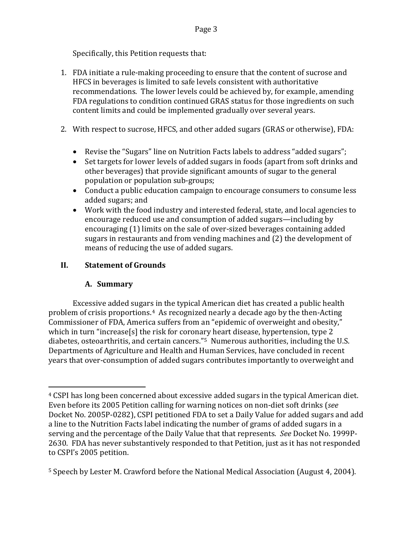Specifically, this Petition requests that:

- 1. FDA initiate a rule-making proceeding to ensure that the content of sucrose and HFCS in beverages is limited to safe levels consistent with authoritative recommendations. The lower levels could be achieved by, for example, amending FDA regulations to condition continued GRAS status for those ingredients on such content limits and could be implemented gradually over several years.
- 2. With respect to sucrose, HFCS, and other added sugars (GRAS or otherwise), FDA:
	- Revise the "Sugars" line on Nutrition Facts labels to address "added sugars";
	- Set targets for lower levels of added sugars in foods (apart from soft drinks and other beverages) that provide significant amounts of sugar to the general population or population sub-groups;
	- Conduct a public education campaign to encourage consumers to consume less added sugars; and
	- Work with the food industry and interested federal, state, and local agencies to encourage reduced use and consumption of added sugars—including by encouraging (1) limits on the sale of over-sized beverages containing added sugars in restaurants and from vending machines and (2) the development of means of reducing the use of added sugars.

## <span id="page-3-0"></span>**II. Statement of Grounds**

#### **A. Summary**

<span id="page-3-1"></span>Excessive added sugars in the typical American diet has created a public health problem of crisis proportions.[4](#page-3-2) As recognized nearly a decade ago by the then-Acting Commissioner of FDA, America suffers from an "epidemic of overweight and obesity," which in turn "increase[s] the risk for coronary heart disease, hypertension, type 2 diabetes, osteoarthritis, and certain cancers."[5](#page-3-3) Numerous authorities, including the U.S. Departments of Agriculture and Health and Human Services, have concluded in recent years that over-consumption of added sugars contributes importantly to overweight and

<span id="page-3-2"></span><sup>4</sup> CSPI has long been concerned about excessive added sugars in the typical American diet. Even before its 2005 Petition calling for warning notices on non-diet soft drinks (*see* Docket No. 2005P-0282), CSPI petitioned FDA to set a Daily Value for added sugars and add a line to the Nutrition Facts label indicating the number of grams of added sugars in a serving and the percentage of the Daily Value that that represents. *See* Docket No. 1999P-2630. FDA has never substantively responded to that Petition, just as it has not responded to CSPI's 2005 petition. i<br>I

<span id="page-3-3"></span><sup>5</sup> Speech by Lester M. Crawford before the National Medical Association (August 4, 2004).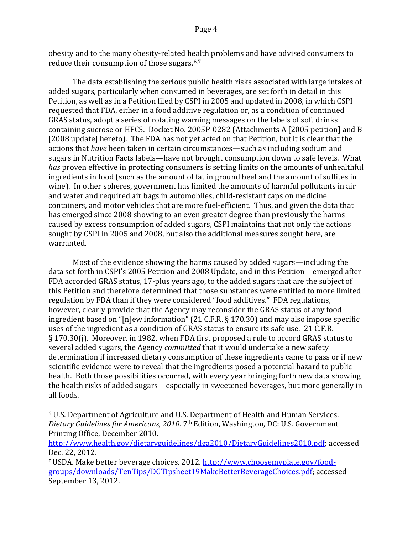obesity and to the many obesity-related health problems and have advised consumers to reduce their consumption of those sugars.[6,](#page-4-0)[7](#page-4-1)

The data establishing the serious public health risks associated with large intakes of added sugars, particularly when consumed in beverages, are set forth in detail in this Petition, as well as in a Petition filed by CSPI in 2005 and updated in 2008, in which CSPI requested that FDA, either in a food additive regulation or, as a condition of continued GRAS status, adopt a series of rotating warning messages on the labels of soft drinks containing sucrose or HFCS. Docket No. 2005P-0282 (Attachments A [2005 petition] and B [2008 update] hereto]. The FDA has not yet acted on that Petition, but it is clear that the actions that *have* been taken in certain circumstances—such as including sodium and sugars in Nutrition Facts labels—have not brought consumption down to safe levels. What *has* proven effective in protecting consumers is setting limits on the amounts of unhealthful ingredients in food (such as the amount of fat in ground beef and the amount of sulfites in wine). In other spheres, government has limited the amounts of harmful pollutants in air and water and required air bags in automobiles, child-resistant caps on medicine containers, and motor vehicles that are more fuel-efficient. Thus, and given the data that has emerged since 2008 showing to an even greater degree than previously the harms caused by excess consumption of added sugars, CSPI maintains that not only the actions sought by CSPI in 2005 and 2008, but also the additional measures sought here, are warranted.

Most of the evidence showing the harms caused by added sugars—including the data set forth in CSPI's 2005 Petition and 2008 Update, and in this Petition—emerged after FDA accorded GRAS status, 17-plus years ago, to the added sugars that are the subject of this Petition and therefore determined that those substances were entitled to more limited regulation by FDA than if they were considered "food additives." FDA regulations, however, clearly provide that the Agency may reconsider the GRAS status of any food ingredient based on "[n]ew information" (21 C.F.R. § 170.30) and may also impose specific uses of the ingredient as a condition of GRAS status to ensure its safe use. 21 C.F.R. § 170.30(j). Moreover, in 1982, when FDA first proposed a rule to accord GRAS status to several added sugars, the Agency *committed* that it would undertake a new safety determination if increased dietary consumption of these ingredients came to pass or if new scientific evidence were to reveal that the ingredients posed a potential hazard to public health. Both those possibilities occurred, with every year bringing forth new data showing the health risks of added sugars—especially in sweetened beverages, but more generally in all foods.

<span id="page-4-0"></span><sup>6</sup> U.S. Department of Agriculture and U.S. Department of Health and Human Services. *Dietary Guidelines for Americans, 2010.* 7th Edition, Washington, DC: U.S. Government Printing Office, December 2010. I

[http://www.health.gov/dietaryguidelines/dga2010/DietaryGuidelines2010.pdf;](http://www.health.gov/dietaryguidelines/dga2010/DietaryGuidelines2010.pdf) accessed Dec. 22, 2012.

<span id="page-4-1"></span><sup>7</sup> USDA. Make better beverage choices. 2012. [http://www.choosemyplate.gov/food](http://www.choosemyplate.gov/food-groups/downloads/TenTips/DGTipsheet19MakeBetterBeverageChoices.pdf)[groups/downloads/TenTips/DGTipsheet19MakeBetterBeverageChoices.pdf;](http://www.choosemyplate.gov/food-groups/downloads/TenTips/DGTipsheet19MakeBetterBeverageChoices.pdf) accessed September 13, 2012.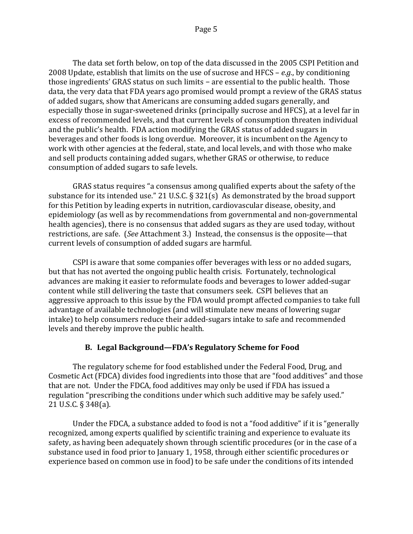The data set forth below, on top of the data discussed in the 2005 CSPI Petition and 2008 Update, establish that limits on the use of sucrose and HFCS – *e.g.*, by conditioning those ingredients' GRAS status on such limits − are essential to the public health. Those data, the very data that FDA years ago promised would prompt a review of the GRAS status of added sugars, show that Americans are consuming added sugars generally, and especially those in sugar-sweetened drinks (principally sucrose and HFCS), at a level far in excess of recommended levels, and that current levels of consumption threaten individual and the public's health. FDA action modifying the GRAS status of added sugars in beverages and other foods is long overdue. Moreover, it is incumbent on the Agency to work with other agencies at the federal, state, and local levels, and with those who make and sell products containing added sugars, whether GRAS or otherwise, to reduce consumption of added sugars to safe levels.

GRAS status requires "a consensus among qualified experts about the safety of the substance for its intended use." 21 U.S.C. § 321(s) As demonstrated by the broad support for this Petition by leading experts in nutrition, cardiovascular disease, obesity, and epidemiology (as well as by recommendations from governmental and non-governmental health agencies), there is no consensus that added sugars as they are used today, without restrictions, are safe. (*See* Attachment 3.) Instead, the consensus is the opposite—that current levels of consumption of added sugars are harmful.

CSPI is aware that some companies offer beverages with less or no added sugars, but that has not averted the ongoing public health crisis. Fortunately, technological advances are making it easier to reformulate foods and beverages to lower added-sugar content while still delivering the taste that consumers seek. CSPI believes that an aggressive approach to this issue by the FDA would prompt affected companies to take full advantage of available technologies (and will stimulate new means of lowering sugar intake) to help consumers reduce their added-sugars intake to safe and recommended levels and thereby improve the public health.

# **B. Legal Background—FDA's Regulatory Scheme for Food**

<span id="page-5-0"></span>The regulatory scheme for food established under the Federal Food, Drug, and Cosmetic Act (FDCA) divides food ingredients into those that are "food additives" and those that are not. Under the FDCA, food additives may only be used if FDA has issued a regulation "prescribing the conditions under which such additive may be safely used." 21 U.S.C. § 348(a).

Under the FDCA, a substance added to food is not a "food additive" if it is "generally recognized, among experts qualified by scientific training and experience to evaluate its safety, as having been adequately shown through scientific procedures (or in the case of a substance used in food prior to January 1, 1958, through either scientific procedures or experience based on common use in food) to be safe under the conditions of its intended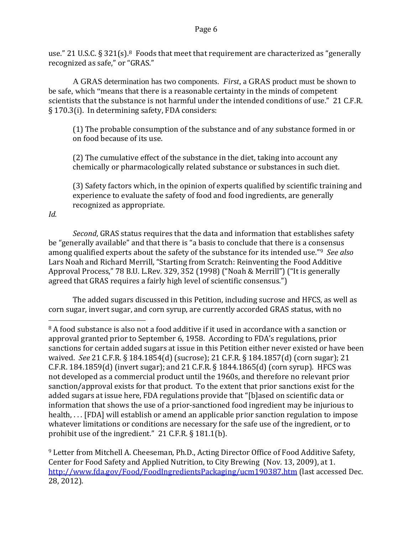use." 21 U.S.C.  $\S 321(s)$ . Foods that meet that requirement are characterized as "generally recognized as safe," or "GRAS."

A GRAS determination has two components. *First*, a GRAS product must be shown to be safe, which "means that there is a reasonable certainty in the minds of competent scientists that the substance is not harmful under the intended conditions of use." 21 C.F.R. § 170.3(i). In determining safety, FDA considers:

(1) The probable consumption of the substance and of any substance formed in or on food because of its use.

(2) The cumulative effect of the substance in the diet, taking into account any chemically or pharmacologically related substance or substances in such diet.

(3) Safety factors which, in the opinion of experts qualified by scientific training and experience to evaluate the safety of food and food ingredients, are generally recognized as appropriate.

## *Id.*

*Second*, GRAS status requires that the data and information that establishes safety be "generally available" and that there is "a basis to conclude that there is a consensus among qualified experts about the safety of the substance for its intended use."[9](#page-6-1) *See also*  Lars Noah and Richard Merrill, "Starting from Scratch: Reinventing the Food Additive Approval Process," 78 B.U. L.Rev. 329, 352 (1998) ("Noah & Merrill") ("It is generally agreed that GRAS requires a fairly high level of scientific consensus.")

The added sugars discussed in this Petition, including sucrose and HFCS, as well as corn sugar, invert sugar, and corn syrup, are currently accorded GRAS status, with no

<span id="page-6-1"></span><sup>9</sup> Letter from Mitchell A. Cheeseman, Ph.D., Acting Director Office of Food Additive Safety, Center for Food Safety and Applied Nutrition, to City Brewing (Nov. 13, 2009), at 1. <http://www.fda.gov/Food/FoodIngredientsPackaging/ucm190387.htm> (last accessed Dec. 28, 2012).

<span id="page-6-0"></span><sup>&</sup>lt;sup>8</sup> A food substance is also not a food additive if it used in accordance with a sanction or approval granted prior to September 6, 1958. According to FDA's regulations, prior sanctions for certain added sugars at issue in this Petition either never existed or have been waived. *See* 21 C.F.R. § 184.1854(d) (sucrose); 21 C.F.R. § 184.1857(d) (corn sugar); 21 C.F.R. 184.1859(d) (invert sugar); and 21 C.F.R. § 1844.1865(d) (corn syrup). HFCS was not developed as a commercial product until the 1960s, and therefore no relevant prior sanction/approval exists for that product. To the extent that prior sanctions exist for the added sugars at issue here, FDA regulations provide that "[b]ased on scientific data or information that shows the use of a prior-sanctioned food ingredient may be injurious to health, ... [FDA] will establish or amend an applicable prior sanction regulation to impose whatever limitations or conditions are necessary for the safe use of the ingredient, or to prohibit use of the ingredient." 21 C.F.R. § 181.1(b). i<br>I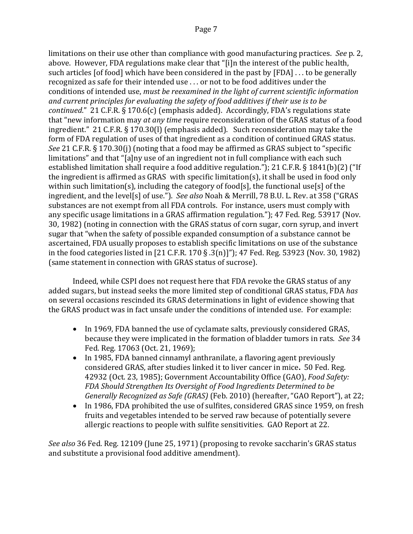limitations on their use other than compliance with good manufacturing practices. *See* p. 2, above. However, FDA regulations make clear that "[i]n the interest of the public health, such articles [of food] which have been considered in the past by [FDA] . . . to be generally recognized as safe for their intended use . . . or not to be food additives under the conditions of intended use, *must be reexamined in the light of current scientific information and current principles for evaluating the safety of food additives if their use is to be continued*." 21 C.F.R. § 170.6(c) (emphasis added). Accordingly, FDA's regulations state that "new information may *at any time* require reconsideration of the GRAS status of a food ingredient." 21 C.F.R. § 170.30(l) (emphasis added). Such reconsideration may take the form of FDA regulation of uses of that ingredient as a condition of continued GRAS status. *See* 21 C.F.R. § 170.30(j) (noting that a food may be affirmed as GRAS subject to "specific limitations" and that "[a]ny use of an ingredient not in full compliance with each such established limitation shall require a food additive regulation."); 21 C.F.R. § 1841(b)(2) ("If the ingredient is affirmed as GRAS with specific limitation(s), it shall be used in food only within such limitation(s), including the category of food[s], the functional use[s] of the ingredient, and the level[s] of use."). *See also* Noah & Merrill, 78 B.U. L. Rev. at 358 ("GRAS substances are not exempt from all FDA controls. For instance, users must comply with any specific usage limitations in a GRAS affirmation regulation."); 47 Fed. Reg. 53917 (Nov. 30, 1982) (noting in connection with the GRAS status of corn sugar, corn syrup, and invert sugar that "when the safety of possible expanded consumption of a substance cannot be ascertained, FDA usually proposes to establish specific limitations on use of the substance in the food categories listed in [21 C.F.R. 170 § .3(n)]"); 47 Fed. Reg. 53923 (Nov. 30, 1982) (same statement in connection with GRAS status of sucrose).

Indeed, while CSPI does not request here that FDA revoke the GRAS status of any added sugars, but instead seeks the more limited step of conditional GRAS status, FDA *has*  on several occasions rescinded its GRAS determinations in light of evidence showing that the GRAS product was in fact unsafe under the conditions of intended use. For example:

- In 1969, FDA banned the use of cyclamate salts, previously considered GRAS, because they were implicated in the formation of bladder tumors in rats. *See* 34 Fed. Reg. 17063 (Oct. 21, 1969);
- In 1985, FDA banned cinnamyl anthranilate, a flavoring agent previously considered GRAS, after studies linked it to liver cancer in mice**.** 50 Fed. Reg. 42932 (Oct. 23, 1985); Government Accountability Office (GAO), *Food Safety: FDA Should Strengthen Its Oversight of Food Ingredients Determined to be Generally Recognized as Safe (GRAS)* (Feb. 2010) (hereafter, "GAO Report"), at 22;
- In 1986, FDA prohibited the use of sulfites, considered GRAS since 1959, on fresh fruits and vegetables intended to be served raw because of potentially severe allergic reactions to people with sulfite sensitivities. GAO Report at 22.

*See also* 36 Fed. Reg. 12109 (June 25, 1971) (proposing to revoke saccharin's GRAS status and substitute a provisional food additive amendment).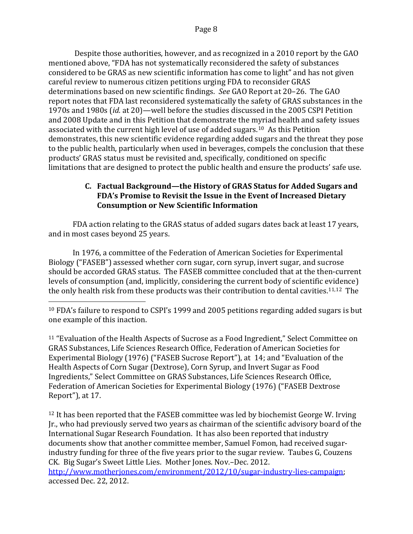Despite those authorities, however, and as recognized in a 2010 report by the GAO mentioned above, "FDA has not systematically reconsidered the safety of substances considered to be GRAS as new scientific information has come to light" and has not given careful review to numerous citizen petitions urging FDA to reconsider GRAS determinations based on new scientific findings. *See* GAO Report at 20–26. The GAO report notes that FDA last reconsidered systematically the safety of GRAS substances in the 1970s and 1980s (*id.* at 20)—well before the studies discussed in the 2005 CSPI Petition and 2008 Update and in this Petition that demonstrate the myriad health and safety issues associated with the current high level of use of added sugars.[10](#page-8-1) As this Petition demonstrates, this new scientific evidence regarding added sugars and the threat they pose to the public health, particularly when used in beverages, compels the conclusion that these products' GRAS status must be revisited and, specifically, conditioned on specific limitations that are designed to protect the public health and ensure the products' safe use.

### <span id="page-8-0"></span>**C. Factual Background—the History of GRAS Status for Added Sugars and FDA's Promise to Revisit the Issue in the Event of Increased Dietary Consumption or New Scientific Information**

FDA action relating to the GRAS status of added sugars dates back at least 17 years, and in most cases beyond 25 years.

In 1976, a committee of the Federation of American Societies for Experimental Biology ("FASEB") assessed whether corn sugar, corn syrup, invert sugar, and sucrose should be accorded GRAS status. The FASEB committee concluded that at the then-current levels of consumption (and, implicitly, considering the current body of scientific evidence) the only health risk from these products was their contribution to dental cavities.[11](#page-8-2),[12](#page-8-3) The

<span id="page-8-2"></span><sup>11</sup> "Evaluation of the Health Aspects of Sucrose as a Food Ingredient," Select Committee on GRAS Substances, Life Sciences Research Office, Federation of American Societies for Experimental Biology (1976) ("FASEB Sucrose Report"), at 14; and "Evaluation of the Health Aspects of Corn Sugar (Dextrose), Corn Syrup, and Invert Sugar as Food Ingredients," Select Committee on GRAS Substances, Life Sciences Research Office, Federation of American Societies for Experimental Biology (1976) ("FASEB Dextrose Report"), at 17.

<span id="page-8-3"></span><sup>12</sup> It has been reported that the FASEB committee was led by biochemist George W. Irving Jr., who had previously served two years as chairman of the scientific advisory board of the International Sugar Research Foundation. It has also been reported that industry documents show that another committee member, Samuel Fomon, had received sugarindustry funding for three of the five years prior to the sugar review. Taubes G, Couzens CK. Big Sugar's Sweet Little Lies. Mother Jones. Nov.–Dec. 2012.

[http://www.motherjones.com/environment/2012/10/sugar-industry-lies-campaign;](http://www.motherjones.com/environment/2012/10/sugar-industry-lies-campaign) accessed Dec. 22, 2012.

<span id="page-8-1"></span><sup>&</sup>lt;sup>10</sup> FDA's failure to respond to CSPI's 1999 and 2005 petitions regarding added sugars is but one example of this inaction. i<br>I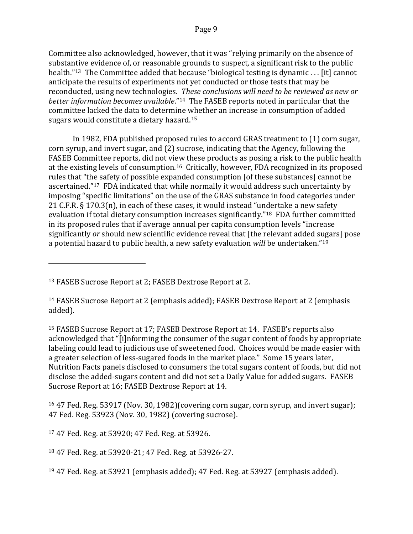Committee also acknowledged, however, that it was "relying primarily on the absence of substantive evidence of, or reasonable grounds to suspect, a significant risk to the public health."<sup>13</sup> The Committee added that because "biological testing is dynamic . . . [it] cannot anticipate the results of experiments not yet conducted or those tests that may be reconducted, using new technologies. *These conclusions will need to be reviewed as new or better information becomes available*."[14](#page-9-1) The FASEB reports noted in particular that the committee lacked the data to determine whether an increase in consumption of added sugars would constitute a dietary hazard.[15](#page-9-2)

In 1982, FDA published proposed rules to accord GRAS treatment to (1) corn sugar, corn syrup, and invert sugar, and (2) sucrose, indicating that the Agency, following the FASEB Committee reports, did not view these products as posing a risk to the public health at the existing levels of consumption[.16](#page-9-3) Critically, however, FDA recognized in its proposed rules that "the safety of possible expanded consumption [of these substances] cannot be ascertained."[17](#page-9-4) FDA indicated that while normally it would address such uncertainty by imposing "specific limitations" on the use of the GRAS substance in food categories under 21 C.F.R. § 170.3(n), in each of these cases, it would instead "undertake a new safety evaluation if total dietary consumption increases significantly."[18](#page-9-5) FDA further committed in its proposed rules that if average annual per capita consumption levels "increase significantly *or* should new scientific evidence reveal that [the relevant added sugars] pose a potential hazard to public health, a new safety evaluation *will* be undertaken."[19](#page-9-6)

<span id="page-9-0"></span><sup>13</sup> FASEB Sucrose Report at 2; FASEB Dextrose Report at 2.

i<br>I

<span id="page-9-1"></span><sup>14</sup> FASEB Sucrose Report at 2 (emphasis added); FASEB Dextrose Report at 2 (emphasis added).

<span id="page-9-2"></span><sup>15</sup> FASEB Sucrose Report at 17; FASEB Dextrose Report at 14. FASEB's reports also acknowledged that "[i]nforming the consumer of the sugar content of foods by appropriate labeling could lead to judicious use of sweetened food. Choices would be made easier with a greater selection of less-sugared foods in the market place." Some 15 years later, Nutrition Facts panels disclosed to consumers the total sugars content of foods, but did not disclose the added-sugars content and did not set a Daily Value for added sugars. FASEB Sucrose Report at 16; FASEB Dextrose Report at 14.

<span id="page-9-3"></span><sup>16</sup> 47 Fed. Reg. 53917 (Nov. 30, 1982)(covering corn sugar, corn syrup, and invert sugar); 47 Fed. Reg. 53923 (Nov. 30, 1982) (covering sucrose).

<span id="page-9-4"></span><sup>17</sup> 47 Fed. Reg. at 53920; 47 Fed. Reg. at 53926.

<span id="page-9-5"></span><sup>18</sup> 47 Fed. Reg. at 53920-21; 47 Fed. Reg. at 53926-27.

<span id="page-9-6"></span><sup>19</sup> 47 Fed. Reg. at 53921 (emphasis added); 47 Fed. Reg. at 53927 (emphasis added).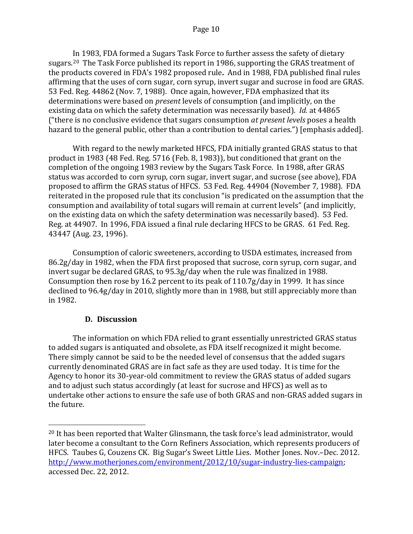In 1983, FDA formed a Sugars Task Force to further assess the safety of dietary sugars.<sup>20</sup> The Task Force published its report in 1986, supporting the GRAS treatment of the products covered in FDA's 1982 proposed rule**.** And in 1988, FDA published final rules affirming that the uses of corn sugar, corn syrup, invert sugar and sucrose in food are GRAS. 53 Fed. Reg. 44862 (Nov. 7, 1988). Once again, however, FDA emphasized that its determinations were based on *present* levels of consumption (and implicitly, on the existing data on which the safety determination was necessarily based). *Id.* at 44865 ("there is no conclusive evidence that sugars consumption *at present levels* poses a health hazard to the general public, other than a contribution to dental caries.") [emphasis added].

With regard to the newly marketed HFCS, FDA initially granted GRAS status to that product in 1983 (48 Fed. Reg. 5716 (Feb. 8, 1983)), but conditioned that grant on the completion of the ongoing 1983 review by the Sugars Task Force. In 1988, after GRAS status was accorded to corn syrup, corn sugar, invert sugar, and sucrose (see above), FDA proposed to affirm the GRAS status of HFCS. 53 Fed. Reg. 44904 (November 7, 1988). FDA reiterated in the proposed rule that its conclusion "is predicated on the assumption that the consumption and availability of total sugars will remain at current levels" (and implicitly, on the existing data on which the safety determination was necessarily based). 53 Fed. Reg. at 44907. In 1996, FDA issued a final rule declaring HFCS to be GRAS. 61 Fed. Reg. 43447 (Aug. 23, 1996).

Consumption of caloric sweeteners, according to USDA estimates, increased from 86.2g/day in 1982, when the FDA first proposed that sucrose, corn syrup, corn sugar, and invert sugar be declared GRAS, to 95.3g/day when the rule was finalized in 1988. Consumption then rose by 16.2 percent to its peak of 110.7g/day in 1999. It has since declined to 96.4g/day in 2010, slightly more than in 1988, but still appreciably more than in 1982.

# **D. Discussion**

<span id="page-10-0"></span>The information on which FDA relied to grant essentially unrestricted GRAS status to added sugars is antiquated and obsolete, as FDA itself recognized it might become. There simply cannot be said to be the needed level of consensus that the added sugars currently denominated GRAS are in fact safe as they are used today. It is time for the Agency to honor its 30-year-old commitment to review the GRAS status of added sugars and to adjust such status accordingly (at least for sucrose and HFCS) as well as to undertake other actions to ensure the safe use of both GRAS and non-GRAS added sugars in the future.

<span id="page-10-1"></span><sup>&</sup>lt;sup>20</sup> It has been reported that Walter Glinsmann, the task force's lead administrator, would later become a consultant to the Corn Refiners Association, which represents producers of HFCS. Taubes G, Couzens CK. Big Sugar's Sweet Little Lies. Mother Jones. Nov.–Dec. 2012. [http://www.motherjones.com/environment/2012/10/sugar-industry-lies-campaign;](http://www.motherjones.com/environment/2012/10/sugar-industry-lies-campaign) accessed Dec. 22, 2012. i<br>I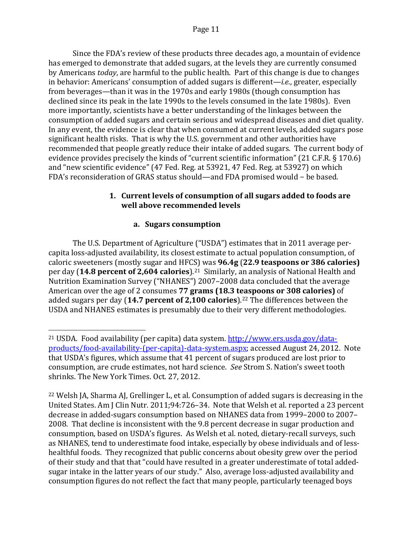Since the FDA's review of these products three decades ago, a mountain of evidence has emerged to demonstrate that added sugars, at the levels they are currently consumed by Americans *today*, are harmful to the public health. Part of this change is due to changes in behavior: Americans' consumption of added sugars is different—*i.e.*, greater, especially from beverages—than it was in the 1970s and early 1980s (though consumption has declined since its peak in the late 1990s to the levels consumed in the late 1980s). Even more importantly, scientists have a better understanding of the linkages between the consumption of added sugars and certain serious and widespread diseases and diet quality. In any event, the evidence is clear that when consumed at current levels, added sugars pose significant health risks. That is why the U.S. government and other authorities have recommended that people greatly reduce their intake of added sugars. The current body of evidence provides precisely the kinds of "current scientific information" (21 C.F.R. § 170.6) and "new scientific evidence" (47 Fed. Reg. at 53921, 47 Fed. Reg. at 53927) on which FDA's reconsideration of GRAS status should—and FDA promised would − be based.

#### **1. Current levels of consumption of all sugars added to foods are well above recommended levels**

## **a. Sugars consumption**

<span id="page-11-1"></span><span id="page-11-0"></span>The U.S. Department of Agriculture ("USDA") estimates that in 2011 average percapita loss-adjusted availability, its closest estimate to actual population consumption, of caloric sweeteners (mostly sugar and HFCS) was **96.4g** (**22.9 teaspoons or 386 calories)** per day (**14.8 percent of 2,604 calories**).[21](#page-11-2) Similarly, an analysis of National Health and Nutrition Examination Survey ("NHANES") 2007–2008 data concluded that the average American over the age of 2 consumes **77 grams (18.3 teaspoons or 308 calories)** of added sugars per day (**14.7 percent of 2,100 calories**).[22](#page-11-3) The differences between the USDA and NHANES estimates is presumably due to their very different methodologies.

<span id="page-11-2"></span><sup>&</sup>lt;sup>21</sup> USDA. Food availability (per capita) data system. <u>http://www.ers.usda.gov/data-</u> [products/food-availability-\(per-capita\)-data-system.aspx;](http://www.ers.usda.gov/data-products/food-availability-(per-capita)-data-system.aspx) accessed August 24, 2012. Note that USDA's figures, which assume that 41 percent of sugars produced are lost prior to consumption, are crude estimates, not hard science. *See* Strom S. Nation's sweet tooth shrinks. The New York Times. Oct. 27, 2012. i<br>I

<span id="page-11-3"></span><sup>22</sup> Welsh JA, Sharma AJ, Grellinger L, et al. Consumption of added sugars is decreasing in the United States. Am J Clin Nutr. 2011;94:726–34. Note that Welsh et al. reported a 23 percent decrease in added-sugars consumption based on NHANES data from 1999–2000 to 2007– 2008. That decline is inconsistent with the 9.8 percent decrease in sugar production and consumption, based on USDA's figures. As Welsh et al. noted, dietary-recall surveys, such as NHANES, tend to underestimate food intake, especially by obese individuals and of lesshealthful foods. They recognized that public concerns about obesity grew over the period of their study and that that "could have resulted in a greater underestimate of total addedsugar intake in the latter years of our study." Also, average loss-adjusted availability and consumption figures do not reflect the fact that many people, particularly teenaged boys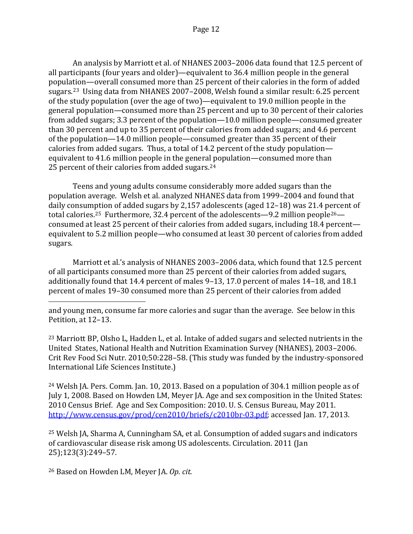An analysis by Marriott et al. of NHANES 2003–2006 data found that 12.5 percent of all participants (four years and older)—equivalent to 36.4 million people in the general population—overall consumed more than 25 percent of their calories in the form of added sugars.[23](#page-12-0) Using data from NHANES 2007–2008, Welsh found a similar result: 6.25 percent of the study population (over the age of two)—equivalent to 19.0 million people in the general population—consumed more than 25 percent and up to 30 percent of their calories from added sugars; 3.3 percent of the population—10.0 million people—consumed greater than 30 percent and up to 35 percent of their calories from added sugars; and 4.6 percent of the population—14.0 million people—consumed greater than 35 percent of their calories from added sugars. Thus, a total of 14.2 percent of the study population equivalent to 41.6 million people in the general population—consumed more than 25 percent of their calories from added sugars.<sup>[24](#page-12-1)</sup>

Teens and young adults consume considerably more added sugars than the population average. Welsh et al. analyzed NHANES data from 1999–2004 and found that daily consumption of added sugars by 2,157 adolescents (aged 12–18) was 21.4 percent of total calories.<sup>[25](#page-12-2)</sup> Furthermore, 32.4 percent of the adolescents—9.2 million people<sup>26</sup> consumed at least 25 percent of their calories from added sugars, including 18.4 percent equivalent to 5.2 million people—who consumed at least 30 percent of calories from added sugars.

Marriott et al.'s analysis of NHANES 2003–2006 data, which found that 12.5 percent of all participants consumed more than 25 percent of their calories from added sugars, additionally found that 14.4 percent of males 9–13, 17.0 percent of males 14–18, and 18.1 percent of males 19–30 consumed more than 25 percent of their calories from added

<span id="page-12-0"></span><sup>23</sup> Marriott BP, Olsho L, Hadden L, et al. Intake of added sugars and selected nutrients in the United States, National Health and Nutrition Examination Survey (NHANES), 2003–2006. Crit Rev Food Sci Nutr. 2010;50:228–58. (This study was funded by the industry-sponsored International Life Sciences Institute.)

<span id="page-12-1"></span><sup>24</sup> Welsh JA. Pers. Comm. Jan. 10, 2013. Based on a population of 304.1 million people as of July 1, 2008. Based on Howden LM, Meyer JA. Age and sex composition in the United States: 2010 Census Brief. Age and Sex Composition: 2010. U. S. Census Bureau, May 2011. [http://www.census.gov/prod/cen2010/briefs/c2010br-03.pdf;](http://www.census.gov/prod/cen2010/briefs/c2010br-03.pdf) accessed Jan. 17, 2013.

<span id="page-12-2"></span><sup>25</sup> Welsh JA, Sharma A, Cunningham SA, et al. Consumption of added sugars and indicators of cardiovascular disease risk among US adolescents. Circulation. 2011 (Jan 25);123(3):249–57.

<span id="page-12-3"></span><sup>26</sup> Based on Howden LM, Meyer JA. *Op. cit.*

and young men, consume far more calories and sugar than the average. See below in this Petition, at 12–13. i<br>I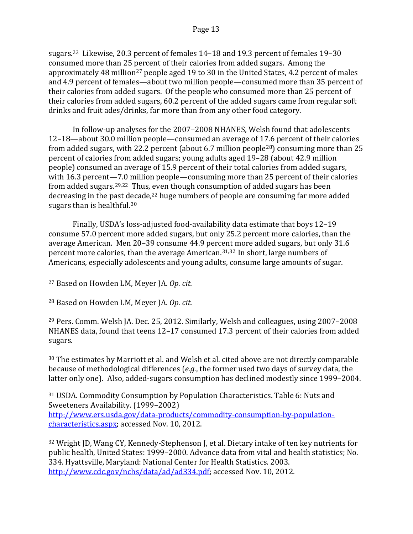sugars.23 Likewise, 20.3 percent of females 14–18 and 19.3 percent of females 19–30 consumed more than 25 percent of their calories from added sugars. Among the approximately 48 million<sup>[27](#page-13-0)</sup> people aged 19 to 30 in the United States, 4.2 percent of males and 4.9 percent of females—about two million people—consumed more than 35 percent of their calories from added sugars. Of the people who consumed more than 25 percent of their calories from added sugars, 60.2 percent of the added sugars came from regular soft drinks and fruit ades/drinks, far more than from any other food category.

In follow-up analyses for the 2007–2008 NHANES, Welsh found that adolescents 12–18—about 30.0 million people—consumed an average of 17.6 percent of their calories from added sugars, with 22.2 percent (about 6.7 million people[28\)](#page-13-1) consuming more than 25 percent of calories from added sugars; young adults aged 19–28 (about 42.9 million people) consumed an average of 15.9 percent of their total calories from added sugars, with 16.3 percent—7.0 million people—consuming more than 25 percent of their calories from added sugars.[29,](#page-13-2)22 Thus, even though consumption of added sugars has been d[ec](#page-13-3)reasing in the past decade,<sup>22</sup> huge numbers of people are consuming far more added sugars than is healthful.<sup>30</sup>

Finally, USDA's loss-adjusted food-availability data estimate that boys 12–19 consume 57.0 percent more added sugars, but only 25.2 percent more calories, than the average American. Men 20–39 consume 44.9 percent more added sugars, but only 31.6 percent more calories, than the average American.[31](#page-13-4),[32](#page-13-5) In short, large numbers of Americans, especially adolescents and young adults, consume large amounts of sugar.

<span id="page-13-1"></span><sup>28</sup> Based on Howden LM, Meyer JA. *Op. cit.*

<span id="page-13-2"></span><sup>29</sup> Pers. Comm. Welsh JA. Dec. 25, 2012. Similarly, Welsh and colleagues, using 2007–2008 NHANES data, found that teens 12–17 consumed 17.3 percent of their calories from added sugars.

<span id="page-13-3"></span><sup>30</sup> The estimates by Marriott et al. and Welsh et al. cited above are not directly comparable because of methodological differences (*e.g.*, the former used two days of survey data, the latter only one). Also, added-sugars consumption has declined modestly since 1999–2004.

<span id="page-13-4"></span><sup>31</sup> USDA. Commodity Consumption by Population Characteristics. Table 6: Nuts and Sweeteners Availability. (1999–2002) [http://www.ers.usda.gov/data-products/commodity-consumption-by-population](http://www.ers.usda.gov/data-products/commodity-consumption-by-population-characteristics.aspx)[characteristics.aspx;](http://www.ers.usda.gov/data-products/commodity-consumption-by-population-characteristics.aspx) accessed Nov. 10, 2012.

<span id="page-13-5"></span><sup>32</sup> Wright JD, Wang CY, Kennedy-Stephenson J, et al. Dietary intake of ten key nutrients for public health, United States: 1999–2000. Advance data from vital and health statistics; No. 334. Hyattsville, Maryland: National Center for Health Statistics. 2003. [http://www.cdc.gov/nchs/data/ad/ad334.pdf;](http://www.cdc.gov/nchs/data/ad/ad334.pdf) accessed Nov. 10, 2012.

<span id="page-13-0"></span><sup>27</sup> Based on Howden LM, Meyer JA. *Op. cit.* i<br>I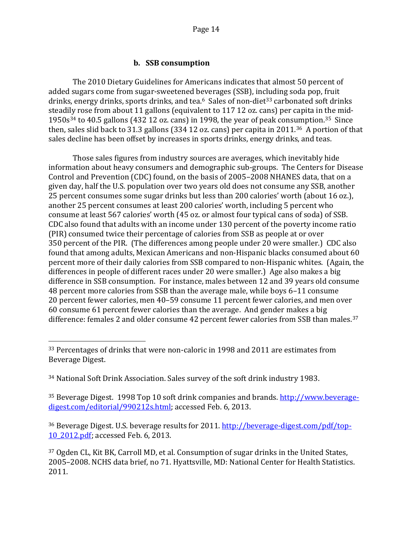#### **b. SSB consumption**

<span id="page-14-0"></span>The 2010 Dietary Guidelines for Americans indicates that almost 50 percent of added sugars come from sugar-sweetened beverages (SSB), including soda pop, fruit drinks, energy drinks, sports drinks, and tea.<sup>6</sup> Sales of non-diet<sup>[33](#page-14-1)</sup> carbonated soft drinks steadily rose from about 11 gallons (equivalent to 117 12 oz. cans) per capita in the mid-1950s<sup>[34](#page-14-2)</sup> to 40.5 gallons (432 12 oz. cans) in 1998, the year of peak cons[um](#page-14-4)ption.<sup>[35](#page-14-3)</sup> Since then, sales slid back to 31.3 gallons (334 12 oz. cans) per capita in 2011. 36 A portion of that sales decline has been offset by increases in sports drinks, energy drinks, and teas.

Those sales figures from industry sources are averages, which inevitably hide information about heavy consumers and demographic sub-groups. The Centers for Disease Control and Prevention (CDC) found, on the basis of 2005–2008 NHANES data, that on a given day, half the U.S. population over two years old does not consume any SSB, another 25 percent consumes some sugar drinks but less than 200 calories' worth (about 16 oz.), another 25 percent consumes at least 200 calories' worth, including 5 percent who consume at least 567 calories' worth (45 oz. or almost four typical cans of soda) of SSB. CDC also found that adults with an income under 130 percent of the poverty income ratio (PIR) consumed twice their percentage of calories from SSB as people at or over 350 percent of the PIR. (The differences among people under 20 were smaller.) CDC also found that among adults, Mexican Americans and non-Hispanic blacks consumed about 60 percent more of their daily calories from SSB compared to non-Hispanic whites. (Again, the differences in people of different races under 20 were smaller.) Age also makes a big difference in SSB consumption. For instance, males between 12 and 39 years old consume 48 percent more calories from SSB than the average male, while boys 6–11 consume 20 percent fewer calories, men 40–59 consume 11 percent fewer calories, and men over 60 consume 61 percent fewer calories than the average. And gender makes a big difference: females 2 and older consume 42 percent fewer calories from SSB than males.<sup>[37](#page-14-5)</sup>

<span id="page-14-4"></span><sup>36</sup> Beverage Digest. U.S. beverage results for 2011. [http://beverage-digest.com/pdf/top-](http://beverage-digest.com/pdf/top-10_2012.pdf)[10\\_2012.pdf;](http://beverage-digest.com/pdf/top-10_2012.pdf) accessed Feb. 6, 2013.

<span id="page-14-1"></span><sup>33</sup> Percentages of drinks that were non-caloric in 1998 and 2011 are estimates from Beverage Digest. i<br>I

<span id="page-14-2"></span><sup>34</sup> National Soft Drink Association. Sales survey of the soft drink industry 1983.

<span id="page-14-3"></span><sup>35</sup> Beverage Digest. 1998 Top 10 soft drink companies and brands. [http://www.beverage](http://www.beverage-digest.com/editorial/990212s.html)[digest.com/editorial/990212s.html;](http://www.beverage-digest.com/editorial/990212s.html) accessed Feb. 6, 2013.

<span id="page-14-5"></span><sup>37</sup> Ogden CL, Kit BK, Carroll MD, et al. Consumption of sugar drinks in the United States, 2005–2008. NCHS data brief, no 71. Hyattsville, MD: National Center for Health Statistics. 2011.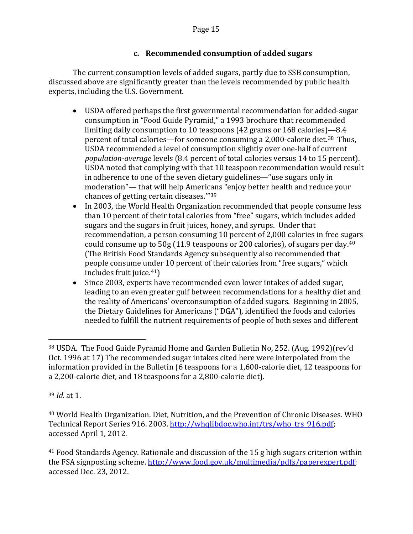## **c. Recommended consumption of added sugars**

<span id="page-15-0"></span>The current consumption levels of added sugars, partly due to SSB consumption, discussed above are significantly greater than the levels recommended by public health experts, including the U.S. Government.

- USDA offered perhaps the first governmental recommendation for added-sugar consumption in "Food Guide Pyramid," a 1993 brochure that recommended limiting daily consumption to 10 teaspoons (42 grams or 168 calories)—8.4 percent of total calories—for someone consuming a 2,000-calorie diet.<sup>[38](#page-15-1)</sup> Thus, USDA recommended a level of consumption slightly over one-half of current *population-average* levels (8.4 percent of total calories versus 14 to 15 percent). USDA noted that complying with that 10 teaspoon recommendation would result in adherence to one of the seven dietary guidelines—"use sugars only in moderation"— that will help Americans "enjoy better health and reduce your chances of getting certain diseases.'"[39](#page-15-2)
- In 2003, the World Health Organization recommended that people consume less than 10 percent of their total calories from "free" sugars, which includes added sugars and the sugars in fruit juices, honey, and syrups. Under that recommendation, a person consuming 10 percent of 2,000 calories in free sugars could consume up to 50g (11.9 teaspoons or 200 calories), of sugars per day.[40](#page-15-3)  (The British Food Standards Agency subsequently also recommended that people consume under 10 percent of their calories from "free sugars," which includes fruit juice. [41\)](#page-15-4)
- Since 2003, experts have recommended even lower intakes of added sugar, leading to an even greater gulf between recommendations for a healthy diet and the reality of Americans' overconsumption of added sugars. Beginning in 2005, the Dietary Guidelines for Americans ("DGA"), identified the foods and calories needed to fulfill the nutrient requirements of people of both sexes and different

<span id="page-15-2"></span><sup>39</sup> *Id.* at 1.

<span id="page-15-1"></span> $^{38}$  USDA. The Food Guide Pyramid Home and Garden Bulletin No, 252. (Aug. 1992)(rev'd Oct. 1996 at 17) The recommended sugar intakes cited here were interpolated from the information provided in the Bulletin (6 teaspoons for a 1,600-calorie diet, 12 teaspoons for a 2,200-calorie diet, and 18 teaspoons for a 2,800-calorie diet). i<br>I

<span id="page-15-3"></span><sup>40</sup> World Health Organization. Diet, Nutrition, and the Prevention of Chronic Diseases. WHO Technical Report Series 916. 2003. [http://whqlibdoc.who.int/trs/who\\_trs\\_916.pdf;](http://whqlibdoc.who.int/trs/who_trs_916.pdf) accessed April 1, 2012.

<span id="page-15-4"></span><sup>&</sup>lt;sup>41</sup> Food Standards Agency. Rationale and discussion of the 15 g high sugars criterion within the FSA signposting scheme. [http://www.food.gov.uk/multimedia/pdfs/paperexpert.pdf;](http://www.food.gov.uk/multimedia/pdfs/paperexpert.pdf) accessed Dec. 23, 2012.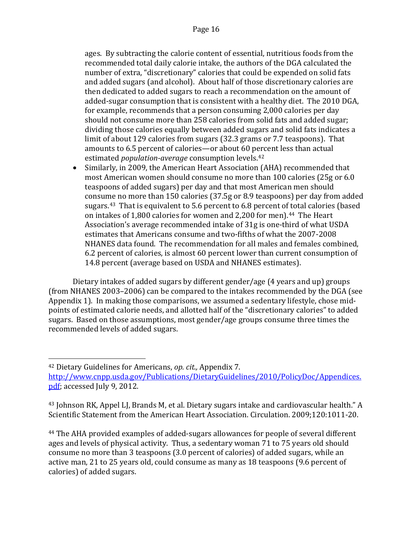ages. By subtracting the calorie content of essential, nutritious foods from the recommended total daily calorie intake, the authors of the DGA calculated the number of extra, "discretionary" calories that could be expended on solid fats and added sugars (and alcohol). About half of those discretionary calories are then dedicated to added sugars to reach a recommendation on the amount of added-sugar consumption that is consistent with a healthy diet. The 2010 DGA, for example, recommends that a person consuming 2,000 calories per day should not consume more than 258 calories from solid fats and added sugar; dividing those calories equally between added sugars and solid fats indicates a limit of about 129 calories from sugars (32.3 grams or 7.7 teaspoons). That amounts to 6.5 percent of calories—or about 60 percent less than actual estimated *population-average* consumption levels.[42](#page-16-0)

• Similarly, in 2009, the American Heart Association (AHA) recommended that most American women should consume no more than 100 calories (25g or 6.0 teaspoons of added sugars) per day and that most American men should consume no more than 150 calories (37.5g or 8.9 teaspoons) per day from added sugars.[43](#page-16-1) That is equivalent to 5.6 percent to 6.8 percent of total calories (based on intakes of 1,800 calories for women and 2,200 for men).<sup>[44](#page-16-2)</sup> The Heart Association's average recommended intake of 31g is one-third of what USDA estimates that Americans consume and two-fifths of what the 2007-2008 NHANES data found. The recommendation for all males and females combined, 6.2 percent of calories, is almost 60 percent lower than current consumption of 14.8 percent (average based on USDA and NHANES estimates).

Dietary intakes of added sugars by different gender/age (4 years and up) groups (from NHANES 2003–2006) can be compared to the intakes recommended by the DGA (see Appendix 1). In making those comparisons, we assumed a sedentary lifestyle, chose midpoints of estimated calorie needs, and allotted half of the "discretionary calories" to added sugars. Based on those assumptions, most gender/age groups consume three times the recommended levels of added sugars.

<span id="page-16-0"></span><sup>42</sup> Dietary Guidelines for Americans, *op. cit.,* Appendix 7. [http://www.cnpp.usda.gov/Publications/DietaryGuidelines/2010/PolicyDoc/Appendices.](http://www.cnpp.usda.gov/Publications/DietaryGuidelines/2010/PolicyDoc/Appendices.pdf) [pdf;](http://www.cnpp.usda.gov/Publications/DietaryGuidelines/2010/PolicyDoc/Appendices.pdf) accessed July 9, 2012. i<br>I

<span id="page-16-1"></span><sup>43</sup> Johnson RK, Appel LJ, Brands M, et al. Dietary sugars intake and cardiovascular health." A Scientific Statement from the American Heart Association. Circulation. 2009;120:1011-20.

<span id="page-16-2"></span><sup>44</sup> The AHA provided examples of added-sugars allowances for people of several different ages and levels of physical activity. Thus, a sedentary woman 71 to 75 years old should consume no more than 3 teaspoons (3.0 percent of calories) of added sugars, while an active man, 21 to 25 years old, could consume as many as 18 teaspoons (9.6 percent of calories) of added sugars.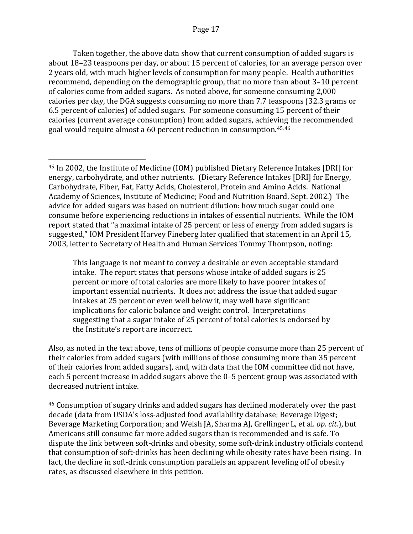#### Page 17

Taken together, the above data show that current consumption of added sugars is about 18–23 teaspoons per day, or about 15 percent of calories, for an average person over 2 years old, with much higher levels of consumption for many people. Health authorities recommend, depending on the demographic group, that no more than about 3–10 percent of calories come from added sugars. As noted above, for someone consuming 2,000 calories per day, the DGA suggests consuming no more than 7.7 teaspoons (32.3 grams or 6.5 percent of calories) of added sugars. For someone consuming 15 percent of their calories (current average consumption) from added sugars, achieving the recommended goal would require almost a 60 percent reduction in consumption.[45,](#page-17-0)[46](#page-17-1) 

This language is not meant to convey a desirable or even acceptable standard intake. The report states that persons whose intake of added sugars is 25 percent or more of total calories are more likely to have poorer intakes of important essential nutrients. It does not address the issue that added sugar intakes at 25 percent or even well below it, may well have significant implications for caloric balance and weight control. Interpretations suggesting that a sugar intake of 25 percent of total calories is endorsed by the Institute's report are incorrect.

Also, as noted in the text above, tens of millions of people consume more than 25 percent of their calories from added sugars (with millions of those consuming more than 35 percent of their calories from added sugars), and, with data that the IOM committee did not have, each 5 percent increase in added sugars above the 0–5 percent group was associated with decreased nutrient intake.

<span id="page-17-1"></span><sup>46</sup> Consumption of sugary drinks and added sugars has declined moderately over the past decade (data from USDA's loss-adjusted food availability database; Beverage Digest; Beverage Marketing Corporation; and Welsh JA, Sharma AJ, Grellinger L, et al. *op. cit.*), but Americans still consume far more added sugars than is recommended and is safe. To dispute the link between soft-drinks and obesity, some soft-drink industry officials contend that consumption of soft-drinks has been declining while obesity rates have been rising. In fact, the decline in soft-drink consumption parallels an apparent leveling off of obesity rates, as discussed elsewhere in this petition.

<span id="page-17-0"></span><sup>45</sup> In 2002, the Institute of Medicine (IOM) published Dietary Reference Intakes [DRI] for energy, carbohydrate, and other nutrients. (Dietary Reference Intakes [DRI] for Energy, Carbohydrate, Fiber, Fat, Fatty Acids, Cholesterol, Protein and Amino Acids. National Academy of Sciences, Institute of Medicine; Food and Nutrition Board, Sept. 2002.) The advice for added sugars was based on nutrient dilution: how much sugar could one consume before experiencing reductions in intakes of essential nutrients. While the IOM report stated that "a maximal intake of 25 percent or less of energy from added sugars is suggested," IOM President Harvey Fineberg later qualified that statement in an April 15, 2003, letter to Secretary of Health and Human Services Tommy Thompson, noting: i<br>I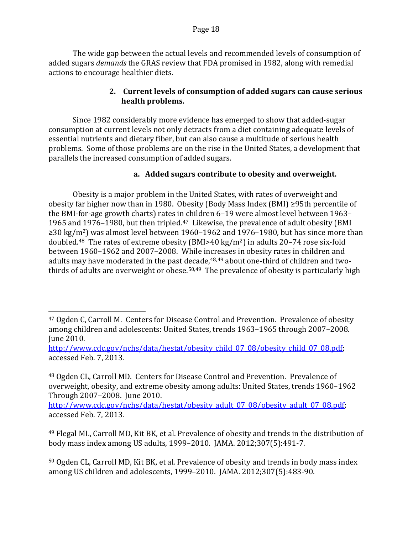The wide gap between the actual levels and recommended levels of consumption of added sugars *demands* the GRAS review that FDA promised in 1982, along with remedial actions to encourage healthier diets.

### **2. Current levels of consumption of added sugars can cause serious health problems.**

<span id="page-18-0"></span>Since 1982 considerably more evidence has emerged to show that added-sugar consumption at current levels not only detracts from a diet containing adequate levels of essential nutrients and dietary fiber, but can also cause a multitude of serious health problems. Some of those problems are on the rise in the United States, a development that parallels the increased consumption of added sugars.

# <span id="page-18-1"></span>**a. Added sugars contribute to obesity and overweight.**

Obesity is a major problem in the United States, with rates of overweight and obesity far higher now than in 1980. Obesity (Body Mass Index (BMI) ≥95th percentile of the BMI-for-age growth charts) rates in children 6–19 were almost level between 1963– 1965 and 1976–1980, but then tripled.[47](#page-18-2) Likewise, the prevalence of adult obesity (BMI  $\geq$ 30 kg/m<sup>2</sup>) was almost level between 1960–1962 and 1976–1980, but has since more than doubled.[48](#page-18-3) The rates of extreme obesity (BMI>40 kg/m2) in adults 20–74 rose six-fold between 1960–1962 and 2007–2008. While increases in obesity rates in children and adults may have moderated in the past decade,<sup>48,[49](#page-18-4)</sup> about one-third of children and two-thirds of adults are overweight or obese.<sup>[50](#page-18-5),49</sup> The prevalence of obesity is particularly high

<span id="page-18-2"></span><sup>47</sup> Ogden C, Carroll M. Centers for Disease Control and Prevention. Prevalence of obesity among children and adolescents: United States, trends 1963–1965 through 2007–2008. June 2010. I

[http://www.cdc.gov/nchs/data/hestat/obesity\\_child\\_07\\_08/obesity\\_child\\_07\\_08.pdf;](http://www.cdc.gov/nchs/data/hestat/obesity_child_07_08/obesity_child_07_08.pdf) accessed Feb. 7, 2013.

<span id="page-18-3"></span><sup>48</sup> Ogden CL, Carroll MD. Centers for Disease Control and Prevention. Prevalence of overweight, obesity, and extreme obesity among adults: United States, trends 1960–1962 Through 2007–2008. June 2010.

[http://www.cdc.gov/nchs/data/hestat/obesity\\_adult\\_07\\_08/obesity\\_adult\\_07\\_08.pdf;](http://www.cdc.gov/nchs/data/hestat/obesity_adult_07_08/obesity_adult_07_08.pdf) accessed Feb. 7, 2013.

<span id="page-18-4"></span><sup>49</sup> Flegal ML, Carroll MD, Kit BK, et al. Prevalence of obesity and trends in the distribution of body mass index among US adults, 1999–2010. JAMA. 2012;307(5):491-7.

<span id="page-18-5"></span><sup>50</sup> Ogden CL, Carroll MD, Kit BK, et al. Prevalence of obesity and trends in body mass index among US children and adolescents, 1999–2010. JAMA. 2012;307(5):483-90.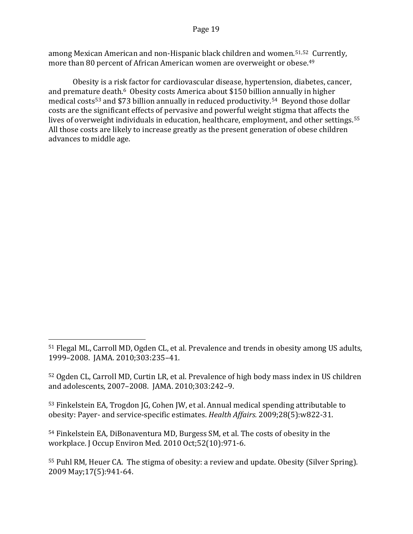among Mexican American and non-Hispanic black children and women.[51,](#page-19-0)[52](#page-19-1) Currently, more than 80 percent of African American women are overweight or obese.<sup>49</sup>

Obesity is a risk factor for cardiovascular disease, hypertension, diabetes, cancer, and prematu[re](#page-19-2) death.<sup>6</sup> Obesity costs America about \$150 billion [an](#page-19-3)nually in higher medical costs<sup>53</sup> and \$73 billion annually in reduced productivity.<sup>54</sup> Beyond those dollar costs are the significant effects of pervasive and powerful weight stigma that affects the lives of overweight individuals in education, healthcare, employment, and other settings.<sup>55</sup> All those costs are likely to increase greatly as the present generation of obese children advances to middle age.

<span id="page-19-2"></span><sup>53</sup> Finkelstein EA, Trogdon JG, Cohen JW, et al. Annual medical spending attributable to obesity: Payer- and service-specific estimates. *Health Affairs.* 2009;28(5):w822-31.

<span id="page-19-3"></span><sup>54</sup> Finkelstein EA, DiBonaventura MD, Burgess SM, et al. The costs of obesity in the workplace. J Occup Environ Med. 2010 Oct;52(10):971-6.

<span id="page-19-4"></span><sup>55</sup> Puhl RM, Heuer CA. The stigma of obesity: a review and update. Obesity (Silver Spring). 2009 May;17(5):941-64.

<span id="page-19-0"></span><sup>51</sup> Flegal ML, Carroll MD, Ogden CL, et al. Prevalence and trends in obesity among US adults, 1999–2008. JAMA. 2010;303:235–41. i<br>I

<span id="page-19-1"></span><sup>52</sup> Ogden CL, Carroll MD, Curtin LR, et al. Prevalence of high body mass index in US children and adolescents, 2007–2008. JAMA. 2010;303:242–9.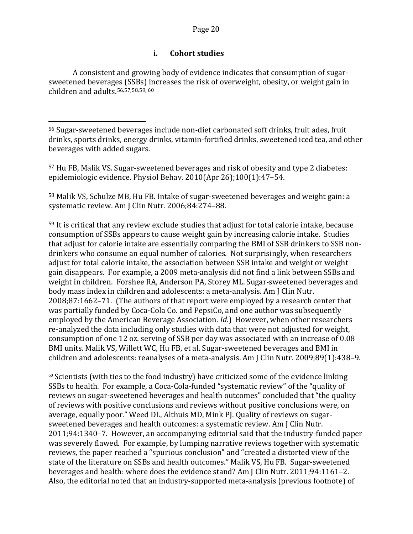### **i. Cohort studies**

A consistent and growing body of evidence indicates that consumption of sugarsweetened beverages (SSBs) [in](#page-20-4)creases the risk of overweight, obesity, or weight gain in children and adults.[56,](#page-20-0)[57,](#page-20-1)[58,](#page-20-2)[59,](#page-20-3) <sup>60</sup>

<span id="page-20-0"></span><sup>56</sup> Sugar-sweetened beverages include non-diet carbonated soft drinks, fruit ades, fruit drinks, sports drinks, energy drinks, vitamin-fortified drinks, sweetened iced tea, and other beverages with added sugars. i<br>I

<span id="page-20-1"></span><sup>57</sup> Hu FB, Malik VS. Sugar-sweetened beverages and risk of obesity and type 2 diabetes: epidemiologic evidence. Physiol Behav. 2010(Apr 26);100(1):47–54.

<span id="page-20-2"></span><sup>58</sup> Malik VS, Schulze MB, Hu FB. Intake of sugar-sweetened beverages and weight gain: a systematic review. Am J Clin Nutr. 2006;84:274–88.

<span id="page-20-3"></span><sup>59</sup> It is critical that any review exclude studies that adjust for total calorie intake, because consumption of SSBs appears to cause weight gain by increasing calorie intake. Studies that adjust for calorie intake are essentially comparing the BMI of SSB drinkers to SSB nondrinkers who consume an equal number of calories. Not surprisingly, when researchers adjust for total calorie intake, the association between SSB intake and weight or weight gain disappears. For example, a 2009 meta-analysis did not find a link between SSBs and weight in children. Forshee RA, Anderson PA, Storey ML. Sugar-sweetened beverages and body mass index in children and adolescents: a meta-analysis. Am J Clin Nutr. 2008;87:1662–71. (The authors of that report were employed by a research center that was partially funded by Coca-Cola Co. and PepsiCo, and one author was subsequently employed by the American Beverage Association. *Id*.) However, when other researchers re-analyzed the data including only studies with data that were not adjusted for weight, consumption of one 12 oz. serving of SSB per day was associated with an increase of 0.08 BMI units. Malik VS, Willett WC, Hu FB, et al. Sugar-sweetened beverages and BMI in children and adolescents: reanalyses of a meta-analysis. Am J Clin Nutr. 2009;89(1):438–9.

<span id="page-20-4"></span> $60$  Scientists (with ties to the food industry) have criticized some of the evidence linking SSBs to health. For example, a Coca-Cola-funded "systematic review" of the "quality of reviews on sugar-sweetened beverages and health outcomes" concluded that "the quality of reviews with positive conclusions and reviews without positive conclusions were, on average, equally poor." Weed DL, Althuis MD, Mink PJ. Quality of reviews on sugarsweetened beverages and health outcomes: a systematic review. Am J Clin Nutr. 2011;94:1340–7. However, an accompanying editorial said that the industry-funded paper was severely flawed. For example, by lumping narrative reviews together with systematic reviews, the paper reached a "spurious conclusion" and "created a distorted view of the state of the literature on SSBs and health outcomes." Malik VS, Hu FB. Sugar-sweetened beverages and health: where does the evidence stand? Am J Clin Nutr. 2011;94:1161–2. Also, the editorial noted that an industry-supported meta-analysis (previous footnote) of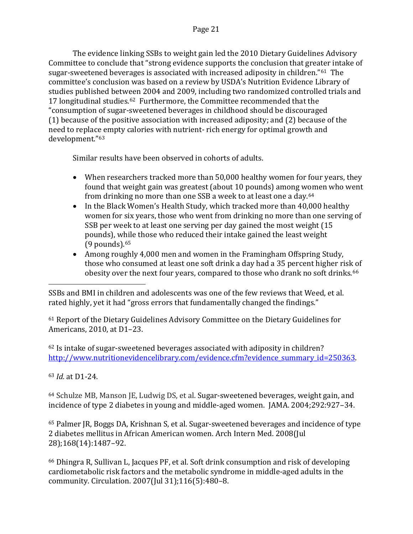The evidence linking SSBs to weight gain led the 2010 Dietary Guidelines Advisory Committee to conclude that "strong evidence supports the conclusion that greater intake of sugar-sweetened beverages is associated with increased adiposity in children."[61](#page-21-0) The committee's conclusion was based on a review by USDA's Nutrition Evidence Library of studies published between 2004 and 2009, including two randomized controlled trials and 17 longitudinal studies.[62](#page-21-1) Furthermore, the Committee recommended that the "consumption of sugar-sweetened beverages in childhood should be discouraged (1) because of the positive association with increased adiposity; and (2) because of the need to replace empty calories with nutrient- rich energy for optimal growth and development."[63](#page-21-2)

Similar results have been observed in cohorts of adults.

- When researchers tracked more than 50,000 healthy women for four years, they found that weight gain was greatest (about 10 pounds) among women who went from drinking no more than one SSB a week to at least one a day[.64](#page-21-3)
- In the Black Women's Health Study, which tracked more than 40,000 healthy women for six years, those who went from drinking no more than one serving of SSB per week to at least one serving per day gained the most weight (15 pounds), while those who reduced their intake gained the least weight (9 pounds).[65](#page-21-4)
- Among roughly 4,000 men and women in the Framingham Offspring Study, those who consumed at least one soft drink a day had a 35 percent higher risk of obesity over the next four years, compared to those who drank no soft drinks.<sup>[66](#page-21-5)</sup>

SSBs and BMI in children and adolescents was one of the few reviews that Weed, et al. rated highly, yet it had "gross errors that fundamentally changed the findings." I

<span id="page-21-0"></span><sup>61</sup> Report of the Dietary Guidelines Advisory Committee on the Dietary Guidelines for Americans, 2010, at D1–23.

<span id="page-21-1"></span><sup>62</sup> Is intake of sugar-sweetened beverages associated with adiposity in children? [http://www.nutritionevidencelibrary.com/evidence.cfm?evidence\\_summary\\_id=250363.](http://www.nutritionevidencelibrary.com/evidence.cfm?evidence_summary_id=250363)

<span id="page-21-2"></span><sup>63</sup> *Id.* at D1-24.

<span id="page-21-3"></span><sup>64</sup> Schulze MB, Manson JE, Ludwig DS, et al. Sugar-sweetened beverages, weight gain, and incidence of type 2 diabetes in young and middle-aged women. JAMA. 2004;292:927–34.

<span id="page-21-4"></span><sup>65</sup> Palmer JR, Boggs DA, Krishnan S, et al. Sugar-sweetened beverages and incidence of type 2 diabetes mellitus in African American women. Arch Intern Med. 2008(Jul 28);168(14):1487–92.

<span id="page-21-5"></span><sup>66</sup> Dhingra R, Sullivan L, Jacques PF, et al. Soft drink consumption and risk of developing cardiometabolic risk factors and the metabolic syndrome in middle-aged adults in the community. Circulation. 2007(Jul 31);116(5):480–8.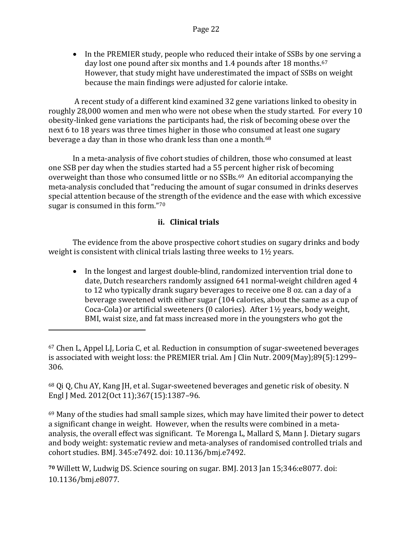• In the PREMIER study, people who reduced their intake of SSBs by one serving a day lost one pound after six months and 1.4 pounds after 18 months.<sup>[67](#page-22-0)</sup> However, that study might have underestimated the impact of SSBs on weight because the main findings were adjusted for calorie intake.

A recent study of a different kind examined 32 gene variations linked to obesity in roughly 28,000 women and men who were not obese when the study started. For every 10 obesity-linked gene variations the participants had, the risk of becoming obese over the next 6 to 18 years was three times higher in those who consumed at least one sugary beverage a day than in those who drank less than one a month.<sup>[68](#page-22-1)</sup>

In a meta-analysis of five cohort studies of children, those who consumed at least one SSB per day when the studies started had a 55 percent higher risk of becoming overweight than those who consumed little or no SSBs.[69](#page-22-2) An editorial accompanying the meta-analysis concluded that "reducing the amount of sugar consumed in drinks deserves special attention because of the strength of the evidence and the ease with which excessive sugar is consumed in this form."[70](#page-22-3)

# **ii. Clinical trials**

The evidence from the above prospective cohort studies on sugary drinks and body weight is consistent with clinical trials lasting three weeks to 1½ years.

• In the longest and largest double-blind, randomized intervention trial done to date, Dutch researchers randomly assigned 641 normal-weight children aged 4 to 12 who typically drank sugary beverages to receive one 8 oz. can a day of a beverage sweetened with either sugar (104 calories, about the same as a cup of Coca-Cola) or artificial sweeteners (0 calories). After 1½ years, body weight, BMI, waist size, and fat mass increased more in the youngsters who got the

i<br>I

<span id="page-22-1"></span><sup>68</sup> Qi Q, Chu AY, Kang JH, et al. Sugar-sweetened beverages and genetic risk of obesity. N Engl J Med. 2012(Oct 11);367(15):1387–96.

<span id="page-22-2"></span> $69$  Many of the studies had small sample sizes, which may have limited their power to detect a significant change in weight. However, when the results were combined in a metaanalysis, the overall effect was significant. Te Morenga L, Mallard S, Mann J. Dietary sugars and body weight: systematic review and meta-analyses of randomised controlled trials and cohort studies. BMJ. 345:e7492. doi: 10.1136/bmj.e7492.

<span id="page-22-3"></span>**<sup>70</sup>** Willett W, Ludwig DS. Science souring on sugar. BMJ. 2013 Jan 15;346:e8077. doi: 10.1136/bmj.e8077.

<span id="page-22-0"></span><sup>67</sup> Chen L, Appel LJ, Loria C, et al. Reduction in consumption of sugar-sweetened beverages is associated with weight loss: the PREMIER trial. Am J Clin Nutr. 2009(May);89(5):1299– 306.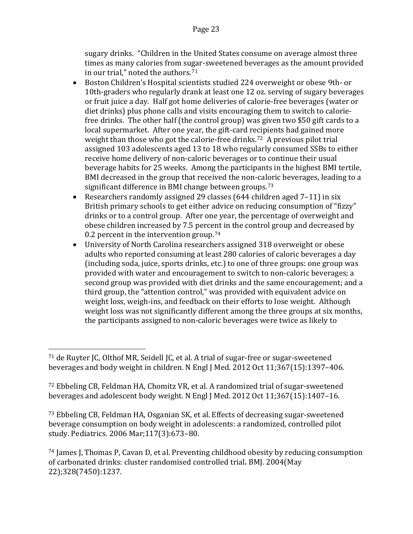sugary drinks. "Children in the United States consume on average almost three times as many calories from sugar-sweetened beverages as the amount provided in our trial," noted the authors.[71](#page-23-0)

- Boston Children's Hospital scientists studied 224 overweight or obese 9th- or 10th-graders who regularly drank at least one 12 oz. serving of sugary beverages or fruit juice a day. Half got home deliveries of calorie-free beverages (water or diet drinks) plus phone calls and visits encouraging them to switch to caloriefree drinks. The other half (the control group) was given two \$50 gift cards to a local supermarket. After one year, the gift-card recipients had gained more weight than those who got the calorie-free drinks.<sup>[72](#page-23-1)</sup> A previous pilot trial assigned 103 adolescents aged 13 to 18 who regularly consumed SSBs to either receive home delivery of non-caloric beverages or to continue their usual beverage habits for 25 weeks. Among the participants in the highest BMI tertile, BMI decreased in the group that received the non-caloric beverages, leading to a significant difference in BMI change between groups.<sup>[73](#page-23-2)</sup>
- Researchers randomly assigned 29 classes (644 children aged 7–11) in six British primary schools to get either advice on reducing consumption of "fizzy" drinks or to a control group. After one year, the percentage of overweight and obese children increased by 7.5 percent in the control group and decreased by 0.2 percent in the intervention group.<sup>[74](#page-23-3)</sup>
- University of North Carolina researchers assigned 318 overweight or obese adults who reported consuming at least 280 calories of caloric beverages a day (including soda, juice, sports drinks, etc.) to one of three groups: one group was provided with water and encouragement to switch to non-caloric beverages; a second group was provided with diet drinks and the same encouragement; and a third group, the "attention control," was provided with equivalent advice on weight loss, weigh-ins, and feedback on their efforts to lose weight. Although weight loss was not significantly different among the three groups at six months, the participants assigned to non-caloric beverages were twice as likely to

<span id="page-23-2"></span><sup>73</sup> Ebbeling CB, Feldman HA, Osganian SK, et al. Effects of decreasing sugar-sweetened beverage consumption on body weight in adolescents: a randomized, controlled pilot study. Pediatrics. 2006 Mar;117(3):673–80.

<span id="page-23-0"></span> $^{71}$  [de Ruyter JC,](http://www.ncbi.nlm.nih.gov/pubmed?term=de%20Ruyter%20JC%5BAuthor%5D&cauthor=true&cauthor_uid=22998340) [Olthof MR,](http://www.ncbi.nlm.nih.gov/pubmed?term=Olthof%20MR%5BAuthor%5D&cauthor=true&cauthor_uid=22998340) [Seidell JC,](http://www.ncbi.nlm.nih.gov/pubmed?term=Seidell%20JC%5BAuthor%5D&cauthor=true&cauthor_uid=22998340) et al. A trial of sugar-free or sugar-sweetened beverages and body weight in children. [N Engl J Med.](http://www.ncbi.nlm.nih.gov/pubmed/22998340) 2012 Oct 11;367(15):1397–406. i<br>I

<span id="page-23-1"></span><sup>72</sup> Ebbeling CB, Feldman HA, Chomitz VR, et al. A randomized trial of sugar-sweetened beverages and adolescent body weight. N Engl J Med. 2012 Oct 11;367(15):1407–16.

<span id="page-23-3"></span><sup>74</sup> James J, Thomas P, Cavan D, et al. Preventing childhood obesity by reducing consumption of carbonated drinks: cluster randomised controlled trial**.** BMJ. 2004(May 22);328(7450):1237.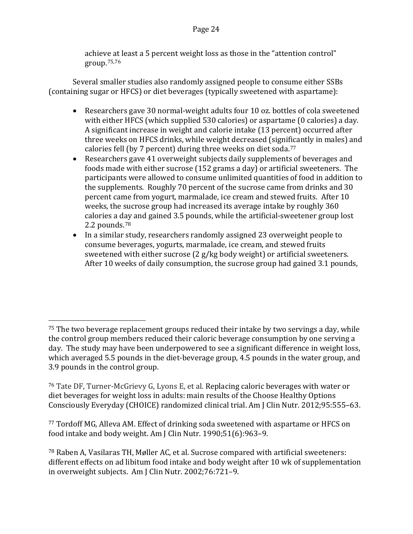achieve at least a 5 percent weight loss as those in the "attention control" group.[75](#page-24-0),[76](#page-24-1)

Several smaller studies also randomly assigned people to consume either SSBs (containing sugar or HFCS) or diet beverages (typically sweetened with aspartame):

- Researchers gave 30 normal-weight adults four 10 oz. bottles of cola sweetened with either HFCS (which supplied 530 calories) or aspartame (0 calories) a day. A significant increase in weight and calorie intake (13 percent) occurred after three weeks on HFCS drinks, while weight decreased (significantly in males) and calories fell (by 7 percent) during three weeks on diet soda.[77](#page-24-2)
- Researchers gave 41 overweight subjects daily supplements of beverages and foods made with either sucrose (152 grams a day) or artificial sweeteners. The participants were allowed to consume unlimited quantities of food in addition to the supplements. Roughly 70 percent of the sucrose came from drinks and 30 percent came from yogurt, marmalade, ice cream and stewed fruits. After 10 weeks, the sucrose group had increased its average intake by roughly 360 calories a day and gained 3.5 pounds, while the artificial-sweetener group lost 2.2 pounds.[78](#page-24-3)
- In a similar study, researchers randomly assigned 23 overweight people to consume beverages, yogurts, marmalade, ice cream, and stewed fruits sweetened with either sucrose (2 g/kg body weight) or artificial sweeteners. After 10 weeks of daily consumption, the sucrose group had gained 3.1 pounds,

<span id="page-24-2"></span><sup>77</sup> Tordoff MG, Alleva AM. Effect of drinking soda sweetened with aspartame or HFCS on food intake and body weight. Am J Clin Nutr. 1990;51(6):963–9.

<span id="page-24-0"></span> $^{75}$  The two beverage replacement groups reduced their intake by two servings a day, while  $^\mathrm{75}$ the control group members reduced their caloric beverage consumption by one serving a day. The study may have been underpowered to see a significant difference in weight loss, which averaged 5.5 pounds in the diet-beverage group, 4.5 pounds in the water group, and 3.9 pounds in the control group. i<br>I

<span id="page-24-1"></span><sup>76</sup> Tate DF, Turner-McGrievy G, Lyons E, et al. Replacing caloric beverages with water or diet beverages for weight loss in adults: main results of the Choose Healthy Options Consciously Everyday (CHOICE) randomized clinical trial. Am J Clin Nutr. 2012;95:555–63.

<span id="page-24-3"></span><sup>78</sup> Raben A, Vasilaras TH, Møller AC, et al. Sucrose compared with artificial sweeteners: different effects on ad libitum food intake and body weight after 10 wk of supplementation in overweight subjects. Am J Clin Nutr. 2002;76:721–9.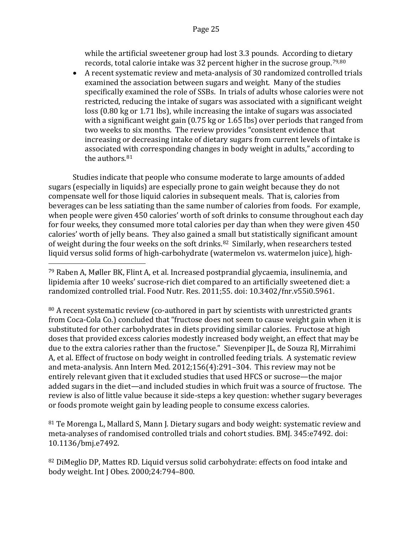while the artificial sweetener group had lost 3.3 pounds. According to dietary records, total calorie intake was 32 percent higher in the sucrose group.<sup>[79](#page-25-0),[80](#page-25-1)</sup>

• A recent systematic review and meta-analysis of 30 randomized controlled trials examined the association between sugars and weight. Many of the studies specifically examined the role of SSBs. In trials of adults whose calories were not restricted, reducing the intake of sugars was associated with a significant weight loss (0.80 kg or 1.71 lbs), while increasing the intake of sugars was associated with a significant weight gain (0.75 kg or 1.65 lbs) over periods that ranged from two weeks to six months. The review provides "consistent evidence that increasing or decreasing intake of dietary sugars from current levels of intake is associated with corresponding changes in body weight in adults," according to the authors.[81](#page-25-2) 

Studies indicate that people who consume moderate to large amounts of added sugars (especially in liquids) are especially prone to gain weight because they do not compensate well for those liquid calories in subsequent meals. That is, calories from beverages can be less satiating than the same number of calories from foods. For example, when people were given 450 calories' worth of soft drinks to consume throughout each day for four weeks, they consumed more total calories per day than when they were given 450 calories' worth of jelly beans. They also gained a small but statistically significant amount of weight during the four weeks on the soft drinks.<sup>[82](#page-25-3)</sup> Similarly, when researchers tested liquid versus solid forms of high-carbohydrate (watermelon vs. watermelon juice), high-

<span id="page-25-1"></span><sup>80</sup> A recent systematic review (co-authored in part by scientists with unrestricted grants from Coca-Cola Co.) concluded that "fructose does not seem to cause weight gain when it is substituted for other carbohydrates in diets providing similar calories. Fructose at high doses that provided excess calories modestly increased body weight, an effect that may be due to the extra calories rather than the fructose." Sievenpiper JL, de Souza RJ, Mirrahimi A, et al. Effect of fructose on body weight in controlled feeding trials. A systematic review and meta-analysis. Ann Intern Med. 2012;156(4):291–304. This review may not be entirely relevant given that it excluded studies that used HFCS or sucrose—the major added sugars in the diet—and included studies in which fruit was a source of fructose. The review is also of little value because it side-steps a key question: whether sugary beverages or foods promote weight gain by leading people to consume excess calories.

<span id="page-25-2"></span>81 Te Morenga L, Mallard S, Mann J. Dietary sugars and body weight: systematic review and meta-analyses of randomised controlled trials and cohort studies. BMJ. 345:e7492. doi: 10.1136/bmj.e7492.

<span id="page-25-3"></span>82 DiMeglio DP, Mattes RD. Liquid versus solid carbohydrate: effects on food intake and body weight. Int J Obes. 2000;24:794–800.

<span id="page-25-0"></span><sup>79</sup> Raben A, Møller BK, Flint A, et al. Increased postprandial glycaemia, insulinemia, and lipidemia after 10 weeks' sucrose-rich diet compared to an artificially sweetened diet: a randomized controlled trial. Food Nutr. Res. 2011;55. doi: 10.3402/fnr.v55i0.5961. i<br>I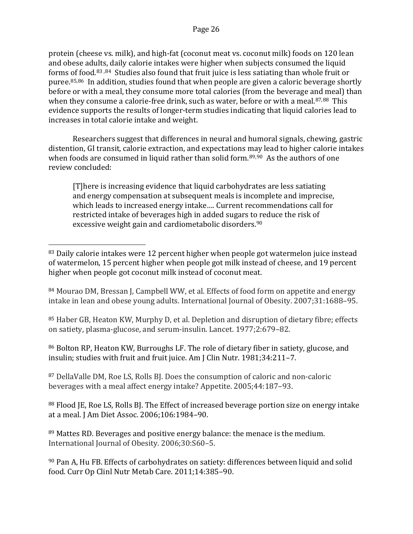protein (cheese vs. milk), and high-fat (coconut meat vs. coconut milk) foods on 120 lean and obese adults, daily calorie intakes were higher when subjects consumed the liquid forms [of](#page-26-2) [fo](#page-26-3)od.[83](#page-26-0) ,[84](#page-26-1) Studies also found that fruit juice is less satiating than whole fruit or puree.85,86 In addition, studies found that when people are given a caloric beverage shortly before or with a meal, they consume more total calories (from the beverage and meal) than when they consume a calorie-free drink, such as water, before or with a meal.<sup>[87,](#page-26-4)88</sup> This evidence supports the results of longer-term studies indicating that liquid calories lead to increases in total calorie intake and weight.

Researchers suggest that differences in neural and humoral signals, chewing, gastric distention, GI transit, calorie extraction, and expectations may lead to higher calorie intakes when foods are consumed in liquid rather than solid form.<sup>[89,](#page-26-6)90</sup> As the authors of one review concluded:

[T]here is increasing evidence that liquid carbohydrates are less satiating and energy compensation at subsequent meals is incomplete and imprecise, which leads to increased energy intake…. Current recommendations call for restricted intake of beverages high in added sugars to reduce the risk of excessive weight gain and cardiometabolic disorders.<sup>90</sup>

<span id="page-26-1"></span>84 Mourao DM, Bressan J, Campbell WW, et al. Effects of food form on appetite and energy intake in lean and obese young adults. International Journal of Obesity. 2007;31:1688–95.

<span id="page-26-2"></span><sup>85</sup> Haber GB, Heaton KW, Murphy D, et al. Depletion and disruption of dietary fibre; effects on satiety, plasma-glucose, and serum-insulin. Lancet. 1977;2:679–82.

<span id="page-26-3"></span><sup>86</sup> Bolton RP, Heaton KW, Burroughs LF. The role of dietary fiber in satiety, glucose, and insulin; studies with fruit and fruit juice. Am J Clin Nutr. 1981;34:211–7.

<span id="page-26-4"></span><sup>87</sup> DellaValle DM, Roe LS, Rolls BJ. Does the consumption of caloric and non-caloric beverages with a meal affect energy intake? Appetite. 2005;44:187–93.

<span id="page-26-5"></span>88 Flood JE, Roe LS, Rolls BJ. The Effect of increased beverage portion size on energy intake at a meal. J Am Diet Assoc. 2006;106:1984–90.

<span id="page-26-6"></span><sup>89</sup> Mattes RD. Beverages and positive energy balance: the menace is the medium. International Journal of Obesity. 2006;30:S60–5.

<span id="page-26-7"></span><sup>90</sup> Pan A, Hu FB. Effects of carbohydrates on satiety: differences between liquid and solid food. Curr Op Clinl Nutr Metab Care. 2011;14:385–90.

<span id="page-26-0"></span><sup>&</sup>lt;sup>83</sup> Daily calorie intakes were 12 percent higher when people got watermelon juice instead of watermelon, 15 percent higher when people got milk instead of cheese, and 19 percent higher when people got coconut milk instead of coconut meat. i<br>I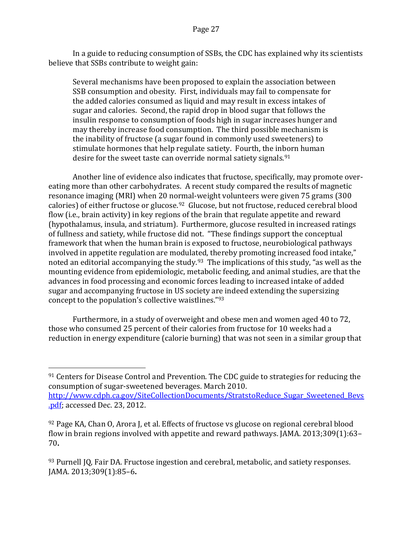In a guide to reducing consumption of SSBs, the CDC has explained why its scientists believe that SSBs contribute to weight gain:

Several mechanisms have been proposed to explain the association between SSB consumption and obesity. First, individuals may fail to compensate for the added calories consumed as liquid and may result in excess intakes of sugar and calories. Second, the rapid drop in blood sugar that follows the insulin response to consumption of foods high in sugar increases hunger and may thereby increase food consumption. The third possible mechanism is the inability of fructose (a sugar found in commonly used sweeteners) to stimulate hormones that help regulate satiety. Fourth, the inborn human desire for the sweet taste can override normal satiety signals.<sup>[91](#page-27-0)</sup>

Another line of evidence also indicates that fructose, specifically, may promote overeating more than other carbohydrates. A recent study compared the results of magnetic resonance imaging (MRI) when 20 normal-weight volunteers were given 75 grams (300 calories) of either fructose or glucose.<sup>[92](#page-27-1)</sup> Glucose, but not fructose, reduced cerebral blood flow (i.e., brain activity) in key regions of the brain that regulate appetite and reward (hypothalamus, insula, and striatum). Furthermore, glucose resulted in increased ratings of fullness and satiety, while fructose did not. "These findings support the conceptual framework that when the human brain is exposed to fructose, neurobiological pathways involved in appetite regulation are modulated, thereby promoting increased food intake," noted an editorial accompanying the study.<sup>[93](#page-27-2)</sup> The implications of this study, "as well as the mounting evidence from epidemiologic, metabolic feeding, and animal studies, are that the advances in food processing and economic forces leading to increased intake of added sugar and accompanying fructose in US society are indeed extending the supersizing concept to the population's collective waistlines."93

Furthermore, in a study of overweight and obese men and women aged 40 to 72, those who consumed 25 percent of their calories from fructose for 10 weeks had a reduction in energy expenditure (calorie burning) that was not seen in a similar group that

<span id="page-27-0"></span><sup>&</sup>lt;sup>91</sup> Centers for Disease Control and Prevention. The CDC guide to strategies for reducing the consumption of sugar-sweetened beverages. March 2010. http://www.cdph.ca.gov/SiteCollectionDocuments/StratstoReduce Sugar Sweetened Bevs I

[<sup>.</sup>pdf;](http://www.cdph.ca.gov/SiteCollectionDocuments/StratstoReduce_Sugar_Sweetened_Bevs.pdf) accessed Dec. 23, 2012.

<span id="page-27-1"></span> $92$  Page KA, Chan O, Arora J, et al. Effects of fructose vs glucose on regional cerebral blood flow in brain regions involved with appetite and reward pathways. JAMA. 2013;309(1):63– 70**.**

<span id="page-27-2"></span><sup>93</sup> Purnell JQ, Fair DA. Fructose ingestion and cerebral, metabolic, and satiety responses. JAMA. 2013;309(1):85–6**.**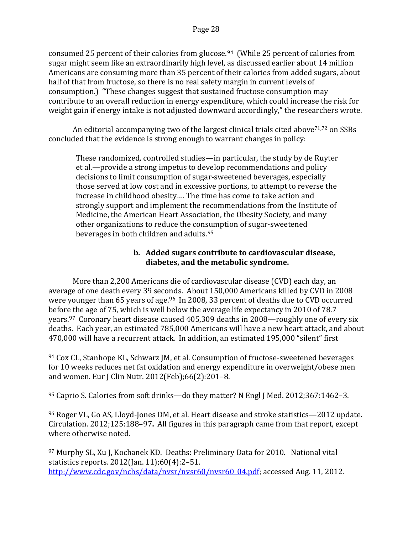consumed 25 percent of their calories from glucose.[94](#page-28-1) (While 25 percent of calories from sugar might seem like an extraordinarily high level, as discussed earlier about 14 million Americans are consuming more than 35 percent of their calories from added sugars, about half of that from fructose, so there is no real safety margin in current levels of consumption.) "These changes suggest that sustained fructose consumption may contribute to an overall reduction in energy expenditure, which could increase the risk for weight gain if energy intake is not adjusted downward accordingly," the researchers wrote.

An editorial accompanying two of the largest clinical trials cited above<sup>71,72</sup> on SSBs concluded that the evidence is strong enough to warrant changes in policy:

These randomized, controlled studies—in particular, the study by de Ruyter et al.—provide a strong impetus to develop recommendations and policy decisions to limit consumption of sugar-sweetened beverages, especially those served at low cost and in excessive portions, to attempt to reverse the increase in childhood obesity…. The time has come to take action and strongly support and implement the recommendations from the Institute of Medicine, the American Heart Association, the Obesity Society, and many other organizations to reduce the consumption of sugar-sweetened beverages in both children and adults.[95](#page-28-2)

## **b. Added sugars contribute to cardiovascular disease, diabetes, and the metabolic syndrome.**

<span id="page-28-0"></span>More than 2,200 Americans die of cardiovascular disease (CVD) each day, an average of one death every 39 seconds. About 150,000 Americans killed by CVD in 2008 were younger than 65 years of age.<sup>[96](#page-28-3)</sup> In 2008, 33 percent of deaths due to CVD occurred before the age of 75, which is well below the average life expectancy in 2010 of 78.7 years. [97](#page-28-4) Coronary heart disease caused 405,309 deaths in 2008—roughly one of every six deaths. Each year, an estimated 785,000 Americans will have a new heart attack, and about 470,000 will have a recurrent attack. In addition, an estimated 195,000 "silent" first

<span id="page-28-2"></span><sup>95</sup> Caprio S. Calories from soft drinks—do they matter? N Engl J Med. 2012;367:1462–3.

<span id="page-28-3"></span><sup>96</sup> Roger VL, Go AS, Lloyd-Jones DM, et al. Heart disease and stroke statistics—2012 update**.**  Circulation. 2012;125:188–97**.** All figures in this paragraph came from that report, except where otherwise noted.

<span id="page-28-4"></span><sup>97</sup> Murphy SL, Xu J, Kochanek KD. Deaths: Preliminary Data for 2010. National vital statistics reports. 2012(Jan. 11);60(4):2–51. [http://www.cdc.gov/nchs/data/nvsr/nvsr60/nvsr60\\_04.pdf;](http://www.cdc.gov/nchs/data/nvsr/nvsr60/nvsr60_04.pdf) accessed Aug. 11, 2012.

<span id="page-28-1"></span><sup>&</sup>lt;sup>94</sup> Cox CL, Stanhope KL, Schwarz JM, et al. Consumption of fructose-sweetened beverages for 10 weeks reduces net fat oxidation and energy expenditure in overweight/obese men and women. Eur J Clin Nutr. 2012(Feb);66(2):201–8. i<br>I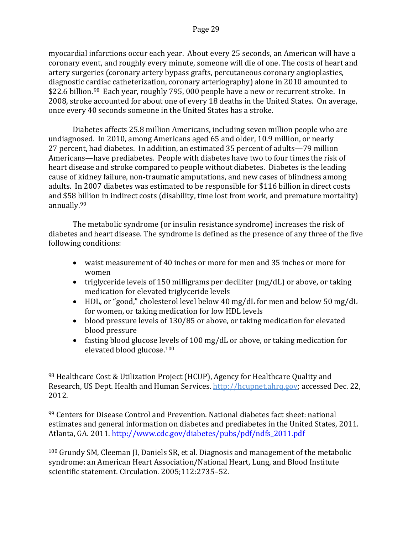myocardial infarctions occur each year. About every 25 seconds, an American will have a coronary event, and roughly every minute, someone will die of one. The costs of heart and artery surgeries (coronary artery bypass grafts, percutaneous coronary angioplasties, diagnostic cardiac catheterization, coronary arteriography) alone in 2010 amounted to \$22.6 billion.<sup>98</sup> Each year, roughly 795, 000 people have a new or recurrent stroke. In 2008, stroke accounted for about one of every 18 deaths in the United States. On average, once every 40 seconds someone in the United States has a stroke.

Diabetes affects 25.8 million Americans, including seven million people who are undiagnosed. In 2010, among Americans aged 65 and older, 10.9 million, or nearly 27 percent, had diabetes. In addition, an estimated 35 percent of adults—79 million Americans—have prediabetes. People with diabetes have two to four times the risk of heart disease and stroke compared to people without diabetes. Diabetes is the leading cause of kidney failure, non-traumatic amputations, and new cases of blindness among adults. In 2007 diabetes was estimated to be responsible for \$116 billion in direct costs and \$58 [bil](#page-29-1)lion in indirect costs (disability, time lost from work, and premature mortality) annually. 99

The metabolic syndrome (or insulin resistance syndrome) increases the risk of diabetes and heart disease. The syndrome is defined as the presence of any three of the five following conditions:

- waist measurement of 40 inches or more for men and 35 inches or more for women
- triglyceride levels of 150 milligrams per deciliter (mg/dL) or above, or taking medication for elevated triglyceride levels
- HDL, or "good," cholesterol level below 40 mg/dL for men and below 50 mg/dL for women, or taking medication for low HDL levels
- blood pressure levels of 130/85 or above, or taking medication for elevated blood pressure
- fasting blood glucose levels of 100 mg/dL or above, or taking medication for elevated blood glucose.[100](#page-29-2)

<span id="page-29-2"></span><sup>100</sup> Grundy SM, Cleeman JI, Daniels SR, et al. Diagnosis and management of the metabolic syndrome: an American Heart Association/National Heart, Lung, and Blood Institute scientific statement. Circulation. 2005;112:2735–52.

<span id="page-29-0"></span><sup>&</sup>lt;sup>98</sup> Healthcare Cost & Utilization Project (HCUP), Agency for Healthcare Quality and Research, US Dept. Health and Human Services. [http://hcupnet.ahrq.gov;](http://hcupnet.ahrq.gov/) accessed Dec. 22, 2012. I

<span id="page-29-1"></span><sup>99</sup> Centers for Disease Control and Prevention. National diabetes fact sheet: national estimates and general information on diabetes and prediabetes in the United States, 2011. Atlanta, GA. 2011. [http://www.cdc.gov/diabetes/pubs/pdf/ndfs\\_2011.pdf](http://www.cdc.gov/diabetes/pubs/pdf/ndfs_2011.pdf)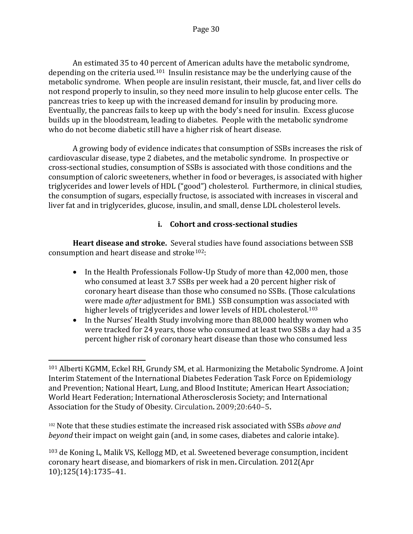An estimated 35 to 40 percent of American adults have the metabolic syndrome, depending on the criteria used.<sup>[101](#page-30-0)</sup> Insulin resistance may be the underlying cause of the metabolic syndrome. When people are insulin resistant, their muscle, fat, and liver cells do not respond properly to insulin, so they need more insulin to help glucose enter cells. The pancreas tries to keep up with the increased demand for insulin by producing more. Eventually, the pancreas fails to keep up with the body's need for insulin. Excess glucose builds up in the bloodstream, leading to diabetes. People with the metabolic syndrome who do not become diabetic still have a higher risk of heart disease.

A growing body of evidence indicates that consumption of SSBs increases the risk of cardiovascular disease, type 2 diabetes, and the metabolic syndrome. In prospective or cross-sectional studies, consumption of SSBs is associated with those conditions and the consumption of caloric sweeteners, whether in food or beverages, is associated with higher triglycerides and lower levels of HDL ("good") cholesterol. Furthermore, in clinical studies, the consumption of sugars, especially fructose, is associated with increases in visceral and liver fat and in triglycerides, glucose, insulin, and small, dense LDL cholesterol levels.

# **i. Cohort and cross-sectional studies**

**Heart disease and stroke.** Several studies have found associations between SSB consumption and heart disease and stroke[102:](#page-30-1)

- In the Health Professionals Follow-Up Study of more than 42,000 men, those who consumed at least 3.7 SSBs per week had a 20 percent higher risk of coronary heart disease than those who consumed no SSBs. (Those calculations were made *after* adjustment for BMI.) SSB consumption was associated with higher levels of triglycerides and lower levels of HDL cholesterol.<sup>103</sup>
- In the Nurses' Health Study involving more than 88,000 healthy women who were tracked for 24 years, those who consumed at least two SSBs a day had a 35 percent higher risk of coronary heart disease than those who consumed less

<span id="page-30-1"></span><sup>102</sup> Note that these studies estimate the increased risk associated with SSBs *above and beyond* their impact on weight gain (and, in some cases, diabetes and calorie intake).

<span id="page-30-2"></span><sup>103</sup> de Koning L, Malik VS, Kellogg MD, et al. Sweetened beverage consumption, incident coronary heart disease, and biomarkers of risk in men**.** Circulation. 2012(Apr 10);125(14):1735–41.

<span id="page-30-0"></span><sup>101</sup> Alberti KGMM, Eckel RH, Grundy SM, et al. Harmonizing the Metabolic Syndrome. A Joint Interim Statement of the International Diabetes Federation Task Force on Epidemiology and Prevention; National Heart, Lung, and Blood Institute; American Heart Association; World Heart Federation; International Atherosclerosis Society; and International Association for the Study of Obesity. Circulation**.** 2009;20:640–5**.** i<br>I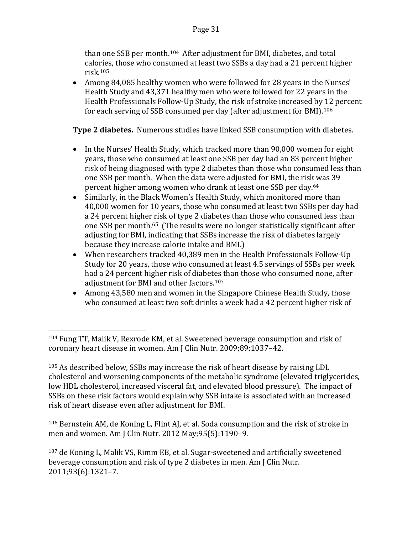than one SSB per month.[104](#page-31-0) After adjustment for BMI, diabetes, and total calories, those who consumed at least two SSBs a day had a 21 percent higher risk.[105](#page-31-1)

• Among 84,085 healthy women who were followed for 28 years in the Nurses' Health Study and 43,371 healthy men who were followed for 22 years in the Health Professionals Follow-Up Study, the risk of stroke increased by 12 percent for each serving of SSB consumed per day (after adjustment for BMI).[106](#page-31-2)

**Type 2 diabetes.** Numerous studies have linked SSB consumption with diabetes.

- In the Nurses' Health Study, which tracked more than 90,000 women for eight years, those who consumed at least one SSB per day had an 83 percent higher risk of being diagnosed with type 2 diabetes than those who consumed less than one SSB per month. When the data were adjusted for BMI, the risk was 39 percent higher among women who drank at least one SSB per day.64
- Similarly, in the Black Women's Health Study, which monitored more than 40,000 women for 10 years, those who consumed at least two SSBs per day had a 24 percent higher risk of type 2 diabetes than those who consumed less than one SSB per month.65 (The results were no longer statistically significant after adjusting for BMI, indicating that SSBs increase the risk of diabetes largely because they increase calorie intake and BMI.)
- When researchers tracked 40,389 men in the Health Professionals Follow-Up Study for 20 years, those who consumed at least 4.5 servings of SSBs per week had a 24 percent higher risk of diabetes than those who consumed none, after adjustment for BMI and other factors.[107](#page-31-3)
- Among 43,580 men and women in the Singapore Chinese Health Study, those who consumed at least two soft drinks a week had a 42 percent higher risk of

<span id="page-31-2"></span><sup>106</sup> Bernstein AM, de Koning L, Flint AJ, et al. Soda consumption and the risk of stroke in men and women. Am J Clin Nutr. 2012 May;95(5):1190–9.

<span id="page-31-0"></span><sup>&</sup>lt;sup>104</sup> Fung TT, Malik V, Rexrode KM, et al. Sweetened beverage consumption and risk of coronary heart disease in women. Am J Clin Nutr. 2009;89:1037–42. i<br>I

<span id="page-31-1"></span><sup>105</sup> As described below, SSBs may increase the risk of heart disease by raising LDL cholesterol and worsening components of the metabolic syndrome (elevated triglycerides, low HDL cholesterol, increased visceral fat, and elevated blood pressure). The impact of SSBs on these risk factors would explain why SSB intake is associated with an increased risk of heart disease even after adjustment for BMI.

<span id="page-31-3"></span><sup>107</sup> de Koning L, Malik VS, Rimm EB, et al. Sugar-sweetened and artificially sweetened beverage consumption and risk of type 2 diabetes in men. Am J Clin Nutr. 2011;93(6):1321–7.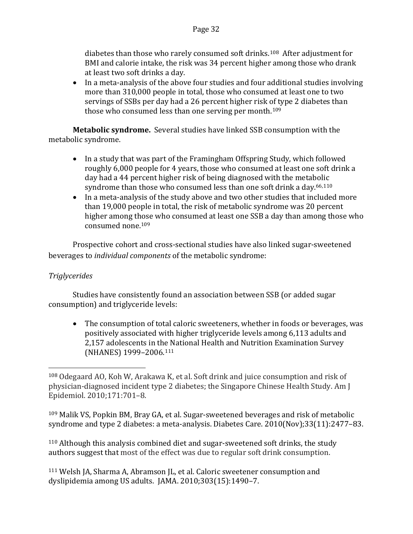diabetes than those who rarely consumed soft drinks.[108](#page-32-0) After adjustment for BMI and calorie intake, the risk was 34 percent higher among those who drank at least two soft drinks a day.

• In a meta-analysis of the above four studies and four additional studies involving more than 310,000 people in total, those who consumed at least one to two servings of SSBs per day had a 26 percent higher risk of type 2 diabetes than those who consumed less than one serving per month.<sup>[109](#page-32-1)</sup>

**Metabolic syndrome.** Several studies have linked SSB consumption with the metabolic syndrome.

- In a study that was part of the Framingham Offspring Study, which followed roughly 6,000 people for 4 years, those who consumed at least one soft drink a day had a 44 percent higher risk of being diagnosed with the metabolic syndrome than those who consumed less than one soft drink a day.<sup>66,[110](#page-32-2)</sup>
- In a meta-analysis of the study above and two other studies that included more than 19,000 people in total, the risk of metabolic syndrome was 20 percent higher among those who consumed at least one SSB a day than among those who consumed none.109

Prospective cohort and cross-sectional studies have also linked sugar-sweetened beverages to *individual components* of the metabolic syndrome:

# *Triglycerides*

Studies have consistently found an association between SSB (or added sugar consumption) and triglyceride levels:

• The consumption of total caloric sweeteners, whether in foods or beverages, was positively associated with higher triglyceride levels among 6,113 adults and 2,157 adolescents in the National Health and Nutrition Examination Survey (NHANES) 1999–2006.[111](#page-32-3)

<span id="page-32-1"></span><sup>109</sup> Malik VS, Popkin BM, Bray GA, et al. Sugar-sweetened beverages and risk of metabolic syndrome and type 2 diabetes: a meta-analysis. Diabetes Care. 2010(Nov);33(11):2477–83.

<span id="page-32-2"></span><sup>110</sup> Although this analysis combined diet and sugar-sweetened soft drinks, the study authors suggest that most of the effect was due to regular soft drink consumption.

<span id="page-32-3"></span><sup>111</sup> Welsh JA, Sharma A, Abramson JL, et al. Caloric sweetener consumption and dyslipidemia among US adults. JAMA. 2010;303(15):1490–7.

<span id="page-32-0"></span><sup>&</sup>lt;sup>108</sup> Odegaard AO, Koh W, Arakawa K, et al. Soft drink and juice consumption and risk of physician-diagnosed incident type 2 diabetes; the Singapore Chinese Health Study. Am J Epidemiol. 2010;171:701–8. I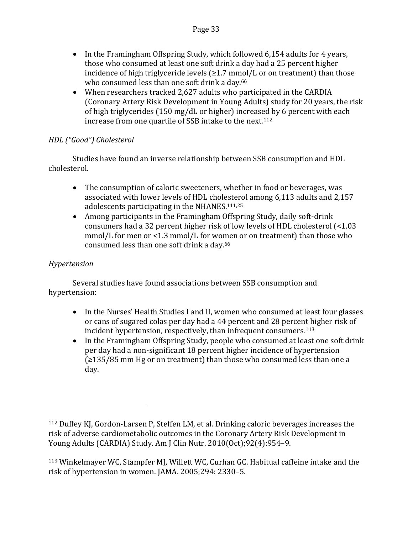- In the Framingham Offspring Study, which followed 6,154 adults for 4 years, those who consumed at least one soft drink a day had a 25 percent higher incidence of high triglyceride levels  $(\geq 1.7 \text{ mmol/L})$  or on treatment) than those who consumed less than one soft drink a day. 66
- When researchers tracked 2,627 adults who participated in the CARDIA (Coronary Artery Risk Development in Young Adults) study for 20 years, the risk of high triglycerides (150 mg/dL or higher) increased by 6 percent with each increase from one quartile of SSB intake to the next.<sup>[112](#page-33-0)</sup>

## *HDL ("Good") Cholesterol*

Studies have found an inverse relationship between SSB consumption and HDL cholesterol.

- The consumption of caloric sweeteners, whether in food or beverages, was associated with lower levels of HDL cholesterol among 6,113 adults and 2,157 adolescents participating in the NHANES. 111,25
- Among participants in the Framingham Offspring Study, daily soft-drink consumers had a 32 percent higher risk of low levels of HDL cholesterol (<1.03 mmol/L for men or <1.3 mmol/L for women or on treatment) than those who consumed less than one soft drink a day. 66

## *Hypertension*

I

Several studies have found associations between SSB consumption and hypertension:

- In the Nurses' Health Studies I and II, women who consumed at least four glasses or cans of sugared colas per day had a 44 percent and 28 percent higher risk of incident hypertension, respectively, than infrequent consumers.[113](#page-33-1)
- In the Framingham Offspring Study, people who consumed at least one soft drink per day had a non-significant 18 percent higher incidence of hypertension (≥135/85 mm Hg or on treatment) than those who consumed less than one a day.

<span id="page-33-0"></span><sup>112</sup> Duffey KJ, Gordon-Larsen P, Steffen LM, et al. Drinking caloric beverages increases the risk of adverse cardiometabolic outcomes in the Coronary Artery Risk Development in Young Adults (CARDIA) Study. Am J Clin Nutr. 2010(Oct);92(4):954–9.

<span id="page-33-1"></span><sup>113</sup> Winkelmayer WC, Stampfer MJ, Willett WC, Curhan GC. Habitual caffeine intake and the risk of hypertension in women. JAMA. 2005;294: 2330–5.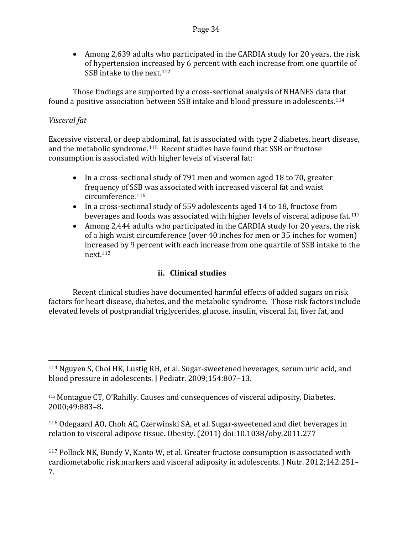• Among 2,639 adults who participated in the CARDIA study for 20 years, the risk of hypertension increased by 6 percent with each increase from one quartile of SSB intake to the next.<sup>112</sup>

Those findings are supported by a cross-sectional analysis of NHANES data that found a positive association between SSB intake and blood pressure in adolescents.[114](#page-34-0)

# *Visceral fat*

Excessive visceral, or deep abdominal, fat is associated with type 2 diabetes, heart disease, and the metabolic syndrome.[115](#page-34-1) Recent studies have found that SSB or fructose consumption is associated with higher levels of visceral fat:

- In a cross-sectional study of 791 men and women aged 18 to 70, greater frequency of SSB was associated with increased visceral fat and waist circumference.[116](#page-34-2)
- In a cross-sectional study of 559 adolescents aged 14 to 18, fructose from beverages and foods was associated with higher levels of visceral adipose fat.[117](#page-34-3)
- Among 2,444 adults who participated in the CARDIA study for 20 years, the risk of a high waist circumference (over 40 inches for men or 35 inches for women) increased by 9 percent with each increase from one quartile of SSB intake to the next.112

# **ii. Clinical studies**

Recent clinical studies have documented harmful effects of added sugars on risk factors for heart disease, diabetes, and the metabolic syndrome. Those risk factors include elevated levels of postprandial triglycerides, glucose, insulin, visceral fat, liver fat, and

<span id="page-34-0"></span><sup>114</sup> Nguyen S, Choi HK, Lustig RH, et al. Sugar-sweetened beverages, serum uric acid, and blood pressure in adolescents. J Pediatr. 2009;154:807–13. i<br>I

<span id="page-34-1"></span><sup>115</sup> Montague CT, O'Rahilly. Causes and consequences of visceral adiposity. Diabetes. 2000;49:883–8**.**

<span id="page-34-2"></span><sup>116</sup> Odegaard AO, Choh AC, Czerwinski SA, et al. Sugar-sweetened and diet beverages in relation to visceral adipose tissue. Obesity. (2011) doi:10.1038/oby.2011.277

<span id="page-34-3"></span><sup>117</sup> Pollock NK, Bundy V, Kanto W, et al. Greater fructose consumption is associated with cardiometabolic risk markers and visceral adiposity in adolescents. J Nutr. 2012;142:251– 7.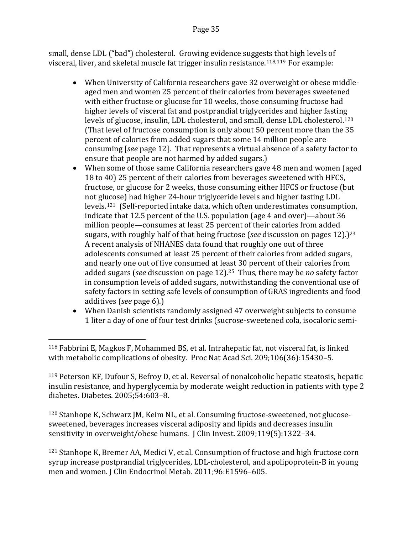small, dense LDL ("bad") cholesterol. Growing evidence suggests that high levels of visceral, liver, and skeletal muscle fat trigger insulin resistance.[118](#page-35-0),[119](#page-35-1) For example:

- When University of California researchers gave 32 overweight or obese middleaged men and women 25 percent of their calories from beverages sweetened with either fructose or glucose for 10 weeks, those consuming fructose had higher levels of visceral fat and postprandial triglycerides and higher fasting levels of glucose, insulin, LDL cholesterol, and small, dense LDL cholesterol.[120](#page-35-2) (That level of fructose consumption is only about 50 percent more than the 35 percent of calories from added sugars that some 14 million people are consuming [*see* page 12]. That represents a virtual absence of a safety factor to ensure that people are not harmed by added sugars.)
- When some of those same California researchers gave 48 men and women (aged 18 to 40) 25 percent of their calories from beverages sweetened with HFCS, fructose, or glucose for 2 weeks, those consuming either HFCS or fructose (but not glucose) had higher 24-hour triglyceride levels and higher fasting LDL levels.[121](#page-35-3) (Self-reported intake data, which often underestimates consumption, indicate that 12.5 percent of the U.S. population (age 4 and over)—about 36 million people—consumes at least 25 percent of their calories from added sugars, with roughly half of that being fructose (*see* discussion on pages 12).)23 A recent analysis of NHANES data found that roughly one out of three adolescents consumed at least 25 percent of their calories from added sugars, and nearly one out of five consumed at least 30 percent of their calories from added sugars (*see* discussion on page 12).25 Thus, there may be *no* safety factor in consumption levels of added sugars, notwithstanding the conventional use of safety factors in setting safe levels of consumption of GRAS ingredients and food additives (*see* page 6).)
- When Danish scientists randomly assigned 47 overweight subjects to consume 1 liter a day of one of four test drinks (sucrose-sweetened cola, isocaloric semi-

<span id="page-35-2"></span><sup>120</sup> Stanhope K, Schwarz JM, Keim NL, et al. Consuming fructose-sweetened, not glucosesweetened, beverages increases visceral adiposity and lipids and decreases insulin sensitivity in overweight/obese humans. J Clin Invest. 2009;119(5):1322–34.

<span id="page-35-0"></span><sup>118</sup> Fabbrini E, Magkos F, Mohammed BS, et al. Intrahepatic fat, not visceral fat, is linked with metabolic complications of obesity. Proc Nat Acad Sci. 209;106(36):15430–5. i<br>I

<span id="page-35-1"></span><sup>119</sup> Peterson KF, Dufour S, Befroy D, et al. Reversal of nonalcoholic hepatic steatosis, hepatic insulin resistance, and hyperglycemia by moderate weight reduction in patients with type 2 diabetes. Diabetes. 2005;54:603–8.

<span id="page-35-3"></span><sup>121</sup> Stanhope K, Bremer AA, Medici V, et al. Consumption of fructose and high fructose corn syrup increase postprandial triglycerides, LDL-cholesterol, and apolipoprotein-B in young men and women. J Clin Endocrinol Metab. 2011;96:E1596–605.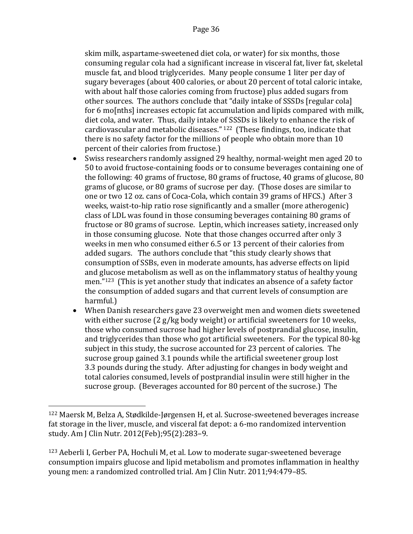skim milk, aspartame-sweetened diet cola, or water) for six months, those consuming regular cola had a significant increase in visceral fat, liver fat, skeletal muscle fat, and blood triglycerides. Many people consume 1 liter per day of sugary beverages (about 400 calories, or about 20 percent of total caloric intake, with about half those calories coming from fructose) plus added sugars from other sources. The authors conclude that "daily intake of SSSDs [regular cola] for 6 mo[nths] increases ectopic fat accumulation and lipids compared with milk, diet cola, and water. Thus, daily intake of SSSDs is likely to enhance the risk of cardiovascular and metabolic diseases." [122](#page-36-0) (These findings, too, indicate that there is no safety factor for the millions of people who obtain more than 10 percent of their calories from fructose.)

- Swiss researchers randomly assigned 29 healthy, normal-weight men aged 20 to 50 to avoid fructose-containing foods or to consume beverages containing one of the following: 40 grams of fructose, 80 grams of fructose, 40 grams of glucose, 80 grams of glucose, or 80 grams of sucrose per day. (Those doses are similar to one or two 12 oz. cans of Coca-Cola, which contain 39 grams of HFCS.) After 3 weeks, waist-to-hip ratio rose significantly and a smaller (more atherogenic) class of LDL was found in those consuming beverages containing 80 grams of fructose or 80 grams of sucrose. Leptin, which increases satiety, increased only in those consuming glucose. Note that those changes occurred after only 3 weeks in men who consumed either 6.5 or 13 percent of their calories from added sugars. The authors conclude that "this study clearly shows that consumption of SSBs, even in moderate amounts, has adverse effects on lipid and glucose metabolism as well as on the inflammatory status of healthy young men."[123](#page-36-1) (This is yet another study that indicates an absence of a safety factor the consumption of added sugars and that current levels of consumption are harmful.)
- When Danish researchers gave 23 overweight men and women diets sweetened with either sucrose (2 g/kg body weight) or artificial sweeteners for 10 weeks, those who consumed sucrose had higher levels of postprandial glucose, insulin, and triglycerides than those who got artificial sweeteners. For the typical 80-kg subject in this study, the sucrose accounted for 23 percent of calories. The sucrose group gained 3.1 pounds while the artificial sweetener group lost 3.3 pounds during the study. After adjusting for changes in body weight and total calories consumed, levels of postprandial insulin were still higher in the sucrose group. (Beverages accounted for 80 percent of the sucrose.) The

<span id="page-36-0"></span><sup>122</sup> Maersk M, Belza A, Stødkilde-Jørgensen H, et al. Sucrose-sweetened beverages increase fat storage in the liver, muscle, and visceral fat depot: a 6-mo randomized intervention study. Am J Clin Nutr. 2012(Feb);95(2):283–9. I

<span id="page-36-1"></span><sup>123</sup> Aeberli I, Gerber PA, Hochuli M, et al. Low to moderate sugar-sweetened beverage consumption impairs glucose and lipid metabolism and promotes inflammation in healthy young men: a randomized controlled trial. Am J Clin Nutr. 2011;94:479–85.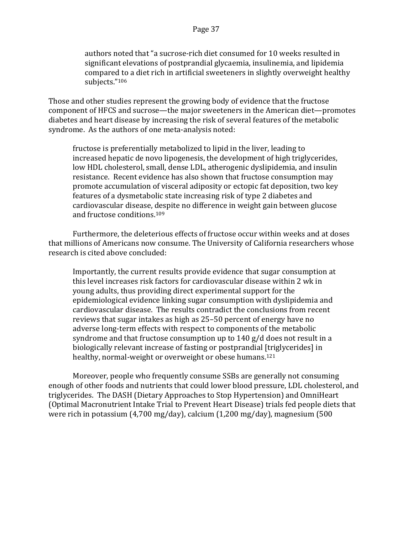authors noted that "a sucrose-rich diet consumed for 10 weeks resulted in significant elevations of postprandial glycaemia, insulinemia, and lipidemia compared to a diet rich in artificial sweeteners in slightly overweight healthy subjects."106

Those and other studies represent the growing body of evidence that the fructose component of HFCS and sucrose—the major sweeteners in the American diet—promotes diabetes and heart disease by increasing the risk of several features of the metabolic syndrome. As the authors of one meta-analysis noted:

fructose is preferentially metabolized to lipid in the liver, leading to increased hepatic de novo lipogenesis, the development of high triglycerides, low HDL cholesterol, small, dense LDL, atherogenic dyslipidemia, and insulin resistance. Recent evidence has also shown that fructose consumption may promote accumulation of visceral adiposity or ectopic fat deposition, two key features of a dysmetabolic state increasing risk of type 2 diabetes and cardiovascular disease, despite no difference in weight gain between glucose and fructose conditions. 109

Furthermore, the deleterious effects of fructose occur within weeks and at doses that millions of Americans now consume. The University of California researchers whose research is cited above concluded:

Importantly, the current results provide evidence that sugar consumption at this level increases risk factors for cardiovascular disease within 2 wk in young adults, thus providing direct experimental support for the epidemiological evidence linking sugar consumption with dyslipidemia and cardiovascular disease. The results contradict the conclusions from recent reviews that sugar intakes as high as 25–50 percent of energy have no adverse long-term effects with respect to components of the metabolic syndrome and that fructose consumption up to 140 g/d does not result in a biologically relevant increase of fasting or postprandial [triglycerides] in healthy, normal-weight or overweight or obese humans.<sup>121</sup>

Moreover, people who frequently consume SSBs are generally not consuming enough of other foods and nutrients that could lower blood pressure, LDL cholesterol, and triglycerides. The DASH (Dietary Approaches to Stop Hypertension) and OmniHeart (Optimal Macronutrient Intake Trial to Prevent Heart Disease) trials fed people diets that were rich in potassium (4,700 mg/day), calcium (1,200 mg/day), magnesium (500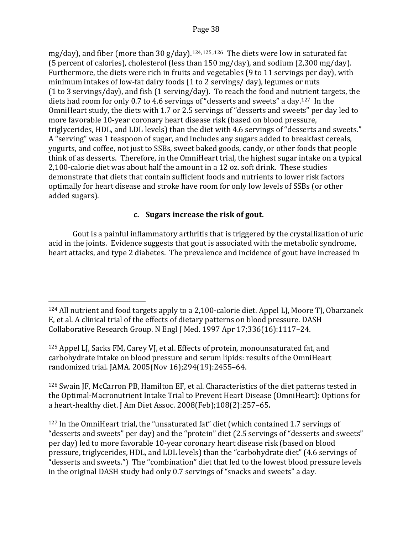mg/day), and fiber (more than 30 g/day).<sup>[124](#page-38-1),[125](#page-38-2),[126](#page-38-3)</sup> The diets were low in saturated fat (5 percent of calories), cholesterol (less than 150 mg/day), and sodium (2,300 mg/day). Furthermore, the diets were rich in fruits and vegetables (9 to 11 servings per day), with minimum intakes of low-fat dairy foods (1 to 2 servings/ day), legumes or nuts (1 to 3 servings/day), and fish (1 serving/day). To reach the food and nutrient targets, the diets had room for only 0.7 to 4.6 servings of "desserts and sweets" a day.[127](#page-38-4) In the OmniHeart study, the diets with 1.7 or 2.5 servings of "desserts and sweets" per day led to more favorable 10-year coronary heart disease risk (based on blood pressure, triglycerides, HDL, and LDL levels) than the diet with 4.6 servings of "desserts and sweets." A "serving" was 1 teaspoon of sugar, and includes any sugars added to breakfast cereals, yogurts, and coffee, not just to SSBs, sweet baked goods, candy, or other foods that people think of as desserts. Therefore, in the OmniHeart trial, the highest sugar intake on a typical 2,100-calorie diet was about half the amount in a 12 oz. soft drink. These studies demonstrate that diets that contain sufficient foods and nutrients to lower risk factors optimally for heart disease and stroke have room for only low levels of SSBs (or other added sugars).

## **c. Sugars increase the risk of gout.**

<span id="page-38-0"></span>Gout is a painful inflammatory arthritis that is triggered by the crystallization of uric acid in the joints. Evidence suggests that gout is associated with the metabolic syndrome, heart attacks, and type 2 diabetes. The prevalence and incidence of gout have increased in

<span id="page-38-3"></span><sup>126</sup> Swain JF, McCarron PB, Hamilton EF, et al. Characteristics of the diet patterns tested in the Optimal-Macronutrient Intake Trial to Prevent Heart Disease (OmniHeart): Options for a heart-healthy diet. J Am Diet Assoc. 2008(Feb);108(2):257–65**.**

<span id="page-38-4"></span><sup>127</sup> In the OmniHeart trial, the "unsaturated fat" diet (which contained 1.7 servings of "desserts and sweets" per day) and the "protein" diet (2.5 servings of "desserts and sweets" per day) led to more favorable 10-year coronary heart disease risk (based on blood pressure, triglycerides, HDL, and LDL levels) than the "carbohydrate diet" (4.6 servings of "desserts and sweets.") The "combination" diet that led to the lowest blood pressure levels in the original DASH study had only 0.7 servings of "snacks and sweets" a day.

<span id="page-38-1"></span><sup>124</sup> All nutrient and food targets apply to a 2,100-calorie diet. Appel LJ, Moore TJ, Obarzanek E, et al. A clinical trial of the effects of dietary patterns on blood pressure. DASH Collaborative Research Group. N Engl J Med. 1997 Apr 17;336(16):1117–24. i<br>I

<span id="page-38-2"></span><sup>125</sup> Appel LJ, Sacks FM, Carey VJ, et al. Effects of protein, monounsaturated fat, and carbohydrate intake on blood pressure and serum lipids: results of the OmniHeart randomized trial. JAMA. 2005(Nov 16);294(19):2455–64.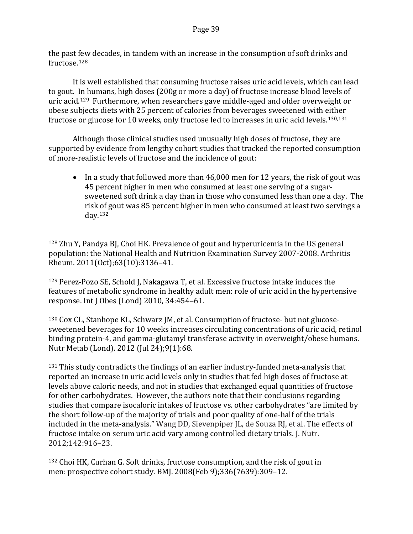the past few decades, in tandem with an increase in the consumption of soft drinks and fructose.[128](#page-39-0)

It is well established that consuming fructose raises uric acid levels, which can lead to gout. [In h](#page-39-1)umans, high doses (200g or more a day) of fructose increase blood levels of uric acid. <sup>129</sup> Furthermore, when researchers gave middle-aged and older overweight or obese subjects diets with 25 percent of calories from beverages sweetened with either fructose or glucose for 10 weeks, only fructose led to increases in uric acid levels.[130,](#page-39-2)[131](#page-39-3)

Although those clinical studies used unusually high doses of fructose, they are supported by evidence from lengthy cohort studies that tracked the reported consumption of more-realistic levels of fructose and the incidence of gout:

• In a study that followed more than 46,000 men for 12 years, the risk of gout was 45 percent higher in men who consumed at least one serving of a sugarsweetened soft drink a day than in those who consumed less than one a day. The risk of gout was 85 percent higher in men who consumed at least two servings a day.[132](#page-39-4) 

<span id="page-39-1"></span><sup>129</sup> Perez-Pozo SE, Schold J, Nakagawa T, et al. Excessive fructose intake induces the features of metabolic syndrome in healthy adult men: role of uric acid in the hypertensive response. Int J Obes (Lond) 2010, 34:454–61.

<span id="page-39-2"></span><sup>130</sup> Cox CL, Stanhope KL, Schwarz JM, et al. Consumption of fructose- but not glucosesweetened beverages for 10 weeks increases circulating concentrations of uric acid, retinol binding protein-4, and gamma-glutamyl transferase activity in overweight/obese humans. Nutr Metab (Lond). 2012 (Jul 24);9(1):68.

<span id="page-39-3"></span><sup>131</sup> This study contradicts the findings of an earlier industry-funded meta-analysis that reported an increase in uric acid levels only in studies that fed high doses of fructose at levels above caloric needs, and not in studies that exchanged equal quantities of fructose for other carbohydrates. However, the authors note that their conclusions regarding studies that compare isocaloric intakes of fructose vs. other carbohydrates "are limited by the short follow-up of the majority of trials and poor quality of one-half of the trials included in the meta-analysis." Wang DD, Sievenpiper JL, de Souza RJ, et al. The effects of fructose intake on serum uric acid vary among controlled dietary trials. J. Nutr. 2012;142:916–23.

<span id="page-39-4"></span><sup>132</sup> Choi HK, Curhan G. Soft drinks, fructose consumption, and the risk of gout in men: prospective cohort study. BMJ. 2008(Feb 9);336(7639):309–12.

<span id="page-39-0"></span><sup>128</sup> Zhu Y, Pandya BJ, Choi HK. Prevalence of gout and hyperuricemia in the US general population: the National Health and Nutrition Examination Survey 2007-2008. Arthritis Rheum. 2011(Oct);63(10):3136–41. i<br>I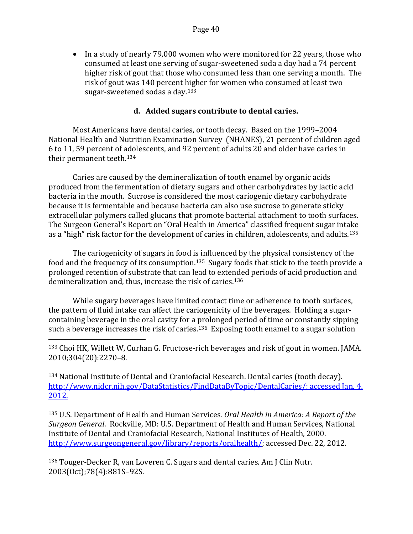• In a study of nearly 79,000 women who were monitored for 22 years, those who consumed at least one serving of sugar-sweetened soda a day had a 74 percent higher risk of gout that those who consumed less than one serving a month. The risk of gout was 140 percent higher for women who consumed at least two sugar-sweetened sodas a day.[133](#page-40-1)

#### **d. Added sugars contribute to dental caries.**

<span id="page-40-0"></span>Most Americans have dental caries, or tooth decay. Based on the 1999–2004 National Health and Nutrition Examination Survey (NHANES), 21 percent of children aged 6 to 11, 59 percent of adolescents, and 92 percent of adults 20 and older have caries in their permanent teeth.[134](#page-40-2)

Caries are caused by the demineralization of tooth enamel by organic acids produced from the fermentation of dietary sugars and other carbohydrates by lactic acid bacteria in the mouth. Sucrose is considered the most cariogenic dietary carbohydrate because it is fermentable and because bacteria can also use sucrose to generate sticky extracellular polymers called glucans that promote bacterial attachment to tooth surfaces. The Surgeon General's Report on "Oral Health in America" classified frequent sugar intake as a "high" risk factor for the development of caries in children, adolescents, and adults.<sup>[135](#page-40-3)</sup>

The cariogenicity of sugars in food is influenced by the physical consistency of the food and the frequency of its consumption.<sup>135</sup> Sugary foods that stick to the teeth provide a prolonged retention of substrate that can lead to extended periods of acid production and demineralization and, thus, increase the risk of caries.[136](#page-40-4) 

While sugary beverages have limited contact time or adherence to tooth surfaces, the pattern of fluid intake can affect the cariogenicity of the beverages. Holding a sugarcontaining beverage in the oral cavity for a prolonged period of time or constantly sipping such a beverage increases the risk of caries.<sup>136</sup> Exposing tooth enamel to a sugar solution

<span id="page-40-1"></span><sup>133</sup> Choi HK, Willett W, Curhan G. Fructose-rich beverages and risk of gout in women. JAMA. 2010;304(20):2270–8. i<br>I

<span id="page-40-2"></span><sup>134</sup> National Institute of Dental and Craniofacial Research. Dental caries (tooth decay). [http://www.nidcr.nih.gov/DataStatistics/FindDataByTopic/DentalCaries/;](http://www.nidcr.nih.gov/DataStatistics/FindDataByTopic/DentalCaries/) accessed Jan. 4, 2012.

<span id="page-40-3"></span><sup>135</sup> U.S. Department of Health and Human Services. *Oral Health in America: A Report of the Surgeon General*. Rockville, MD: U.S. Department of Health and Human Services, National Institute of Dental and Craniofacial Research, National Institutes of Health, 2000. [http://www.surgeongeneral.gov/library/reports/oralhealth/;](http://www.surgeongeneral.gov/library/reports/oralhealth/) accessed Dec. 22, 2012.

<span id="page-40-4"></span><sup>136</sup> Touger-Decker R, van Loveren C. Sugars and dental caries. Am J Clin Nutr. 2003(Oct);78(4):881S–92S.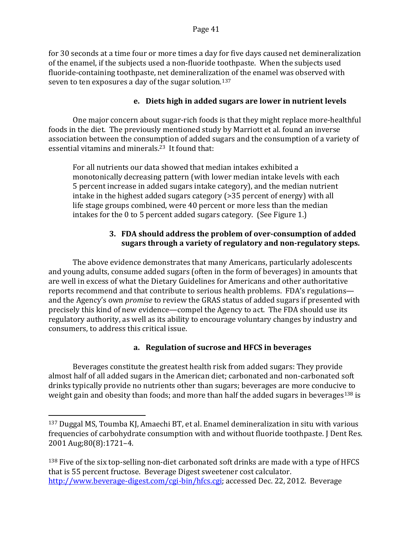for 30 seconds at a time four or more times a day for five days caused net demineralization of the enamel, if the subjects used a non-fluoride toothpaste. When the subjects used fluoride-containing toothpaste, net demineralization of the enamel was observed with seven to ten exposures a day of the sugar solution.<sup>[137](#page-41-3)</sup>

# **e. Diets high in added sugars are lower in nutrient levels**

<span id="page-41-0"></span>One major concern about sugar-rich foods is that they might replace more-healthful foods in the diet. The previously mentioned study by Marriott et al. found an inverse association between the consumption of added sugars and the consumption of a variety of essential vitamins and minerals.23 It found that:

For all nutrients our data showed that median intakes exhibited a monotonically decreasing pattern (with lower median intake levels with each 5 percent increase in added sugars intake category), and the median nutrient intake in the highest added sugars category (>35 percent of energy) with all life stage groups combined, were 40 percent or more less than the median intakes for the 0 to 5 percent added sugars category. (See Figure 1.)

# **3. FDA should address the problem of over-consumption of added sugars through a variety of regulatory and non-regulatory steps.**

<span id="page-41-1"></span>The above evidence demonstrates that many Americans, particularly adolescents and young adults, consume added sugars (often in the form of beverages) in amounts that are well in excess of what the Dietary Guidelines for Americans and other authoritative reports recommend and that contribute to serious health problems. FDA's regulations and the Agency's own *promise* to review the GRAS status of added sugars if presented with precisely this kind of new evidence—compel the Agency to act. The FDA should use its regulatory authority, as well as its ability to encourage voluntary changes by industry and consumers, to address this critical issue.

# **a. Regulation of sucrose and HFCS in beverages**

<span id="page-41-2"></span>Beverages constitute the greatest health risk from added sugars: They provide almost half of all added sugars in the American diet; carbonated and non-carbonated soft drinks typically provide no nutrients other than sugars; beverages are more conducive to weight gain and obesity than foods; and more than half the added sugars in beverages<sup>[138](#page-41-4)</sup> is

<span id="page-41-3"></span><sup>137</sup> Duggal MS, Toumba KJ, Amaechi BT, et al. Enamel demineralization in situ with various frequencies of carbohydrate consumption with and without fluoride toothpaste. J Dent Res. 2001 Aug;80(8):1721–4. i<br>I

<span id="page-41-4"></span><sup>138</sup> Five of the six top-selling non-diet carbonated soft drinks are made with a type of HFCS that is 55 percent fructose. Beverage Digest sweetener cost calculator. [http://www.beverage-digest.com/cgi-bin/hfcs.cgi;](http://www.beverage-digest.com/cgi-bin/hfcs.cgi) accessed Dec. 22, 2012. Beverage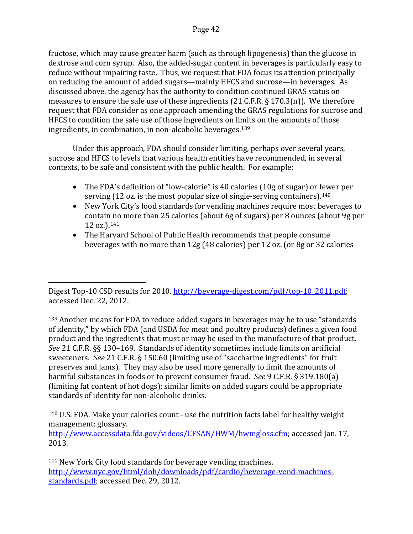fructose, which may cause greater harm (such as through lipogenesis) than the glucose in dextrose and corn syrup. Also, the added-sugar content in beverages is particularly easy to reduce without impairing taste. Thus, we request that FDA focus its attention principally on reducing the amount of added sugars—mainly HFCS and sucrose—in beverages. As discussed above, the agency has the authority to condition continued GRAS status on measures to ensure the safe use of these ingredients (21 C.F.R. § 170.3(n)). We therefore request that FDA consider as one approach amending the GRAS regulations for sucrose and HFCS to condition the safe use of those ingredients on limits on the amounts of those ingredients, in combination, in non-alcoholic beverages.[139](#page-42-0)

Under this approach, FDA should consider limiting, perhaps over several years, sucrose and HFCS to levels that various health entities have recommended, in several contexts, to be safe and consistent with the public health. For example:

- The FDA's definition of "low-calorie" is 40 calories (10g of sugar) or fewer per serving (12 oz. is the most popular size of single-serving containers).<sup>[140](#page-42-1)</sup>
- New York City's food standards for vending machines require most beverages to contain no more than 25 calories (about 6g of sugars) per 8 ounces (about 9g per 12 oz.).[141](#page-42-2)
- The Harvard School of Public Health recommends that people consume beverages with no more than 12g (48 calories) per 12 oz. (or 8g or 32 calories

<span id="page-42-1"></span><sup>140</sup> U.S. FDA. Make your calories count - use the nutrition facts label for healthy weight management: glossary.

[http://www.accessdata.fda.gov/videos/CFSAN/HWM/hwmgloss.cfm;](http://www.accessdata.fda.gov/videos/CFSAN/HWM/hwmgloss.cfm) accessed Jan. 17, 2013.

<span id="page-42-2"></span><sup>141</sup> New York City food standards for beverage vending machines. [http://www.nyc.gov/html/doh/downloads/pdf/cardio/beverage-vend-machines](http://www.nyc.gov/html/doh/downloads/pdf/cardio/beverage-vend-machines-standards.pdf)[standards.pdf;](http://www.nyc.gov/html/doh/downloads/pdf/cardio/beverage-vend-machines-standards.pdf) accessed Dec. 29, 2012.

Digest Top-10 CSD results for 2010. <u>http://beverage-digest.com/pdf/top-10\_2011.pdf</u>; accessed Dec. 22, 2012. i<br>I

<span id="page-42-0"></span><sup>139</sup> Another means for FDA to reduce added sugars in beverages may be to use "standards of identity," by which FDA (and USDA for meat and poultry products) defines a given food product and the ingredients that must or may be used in the manufacture of that product. *See* 21 C.F.R. §§ 130–169. Standards of identity sometimes include limits on artificial sweeteners. *See* 21 C.F.R. § 150.60 (limiting use of "saccharine ingredients" for fruit preserves and jams). They may also be used more generally to limit the amounts of harmful substances in foods or to prevent consumer fraud. *See* 9 C.F.R. § 319.180(a) (limiting fat content of hot dogs); similar limits on added sugars could be appropriate standards of identity for non-alcoholic drinks.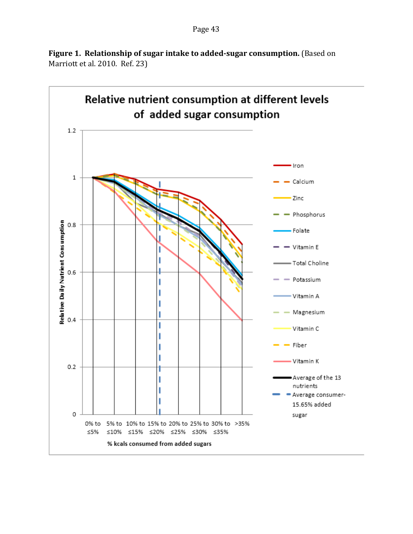**Figure 1. Relationship of sugar intake to added-sugar consumption.** (Based on Marriott et al. 2010. Ref. 23)

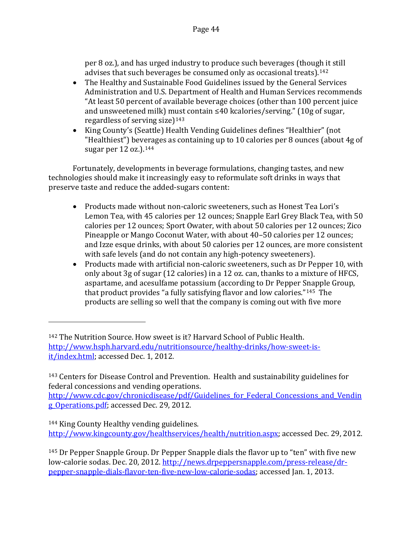per 8 oz.), and has urged industry to produce such beverages (though it still advises that such beverages be consumed only as occasional treats).<sup>[142](#page-44-0)</sup>

- The Healthy and Sustainable Food Guidelines issued by the General Services Administration and U.S. Department of Health and Human Services recommends "At least 50 percent of available beverage choices (other than 100 percent juice and unsweetened milk) must contain ≤40 kcalories/serving." (10g of sugar, regardless of serving size $143$
- King County's (Seattle) Health Vending Guidelines defines "Healthier" (not "Healthiest") beverages as containing up to 10 calories per 8 ounces (about 4g of sugar per 12 oz.).[144](#page-44-2)

Fortunately, developments in beverage formulations, changing tastes, and new technologies should make it increasingly easy to reformulate soft drinks in ways that preserve taste and reduce the added-sugars content:

- Products made without non-caloric sweeteners, such as Honest Tea Lori's Lemon Tea, with 45 calories per 12 ounces; Snapple Earl Grey Black Tea, with 50 calories per 12 ounces; Sport Owater, with about 50 calories per 12 ounces; Zico Pineapple or Mango Coconut Water, with about 40–50 calories per 12 ounces; and Izze esque drinks, with about 50 calories per 12 ounces, are more consistent with safe levels (and do not contain any high-potency sweeteners).
- Products made with artificial non-caloric sweeteners, such as Dr Pepper 10, with only about 3g of sugar (12 calories) in a 12 oz. can, thanks to a mixture of HFCS, aspartame, and acesulfame potassium (according to Dr Pepper Snapple Group, that product provides "a fully satisfying flavor and low calories."[145](#page-44-3) The products are selling so well that the company is coming out with five more

i<br>I

http://www.cdc.gov/chronicdisease/pdf/Guidelines for Federal Concessions and Vendin [g\\_Operations.pdf;](http://www.cdc.gov/chronicdisease/pdf/Guidelines_for_Federal_Concessions_and_Vending_Operations.pdf) accessed Dec. 29, 2012.

<span id="page-44-2"></span><sup>144</sup> King County Healthy vending guidelines. [http://www.kingcounty.gov/healthservices/health/nutrition.aspx;](http://www.kingcounty.gov/healthservices/health/nutrition.aspx) accessed Dec. 29, 2012.

<span id="page-44-3"></span><sup>145</sup> Dr Pepper Snapple Group. Dr Pepper Snapple dials the flavor up to "ten" with five new low-calorie sodas. Dec. 20, 2012. [http://news.drpeppersnapple.com/press-release/dr](http://news.drpeppersnapple.com/press-release/dr-pepper-snapple-dials-flavor-ten-five-new-low-calorie-sodas)[pepper-snapple-dials-flavor-ten-five-new-low-calorie-sodas;](http://news.drpeppersnapple.com/press-release/dr-pepper-snapple-dials-flavor-ten-five-new-low-calorie-sodas) accessed Jan. 1, 2013.

<span id="page-44-0"></span><sup>142</sup> The Nutrition Source. How sweet is it? Harvard School of Public Health. [http://www.hsph.harvard.edu/nutritionsource/healthy-drinks/how-sweet-is](http://www.hsph.harvard.edu/nutritionsource/healthy-drinks/how-sweet-is-it/index.html)[it/index.html;](http://www.hsph.harvard.edu/nutritionsource/healthy-drinks/how-sweet-is-it/index.html) accessed Dec. 1, 2012.

<span id="page-44-1"></span><sup>143</sup> Centers for Disease Control and Prevention. Health and sustainability guidelines for federal concessions and vending operations.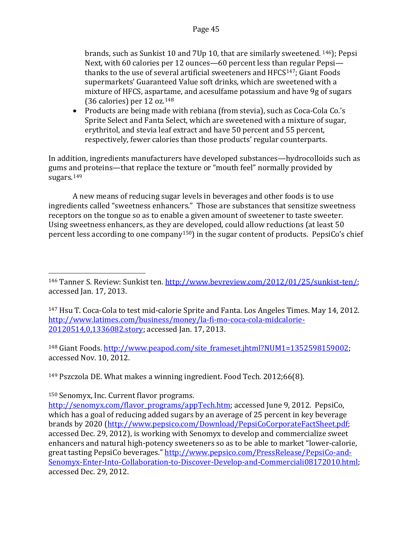brands, such as Sunkist 10 and 7Up 10, that are similarly sweetened. [146\)](#page-45-0); Pepsi Next, with 60 calories per 12 ounces—60 percent less than regular Pepsi thanks to the use of several artificial sweeteners and HFCS[147](#page-45-1); Giant Foods supermarkets' Guaranteed Value soft drinks, which are sweetened with a mixture of HFCS, aspartame, and acesulfame potassium and have 9g of sugars (36 calories) per 12 oz.[148](#page-45-2)

• Products are being made with rebiana (from stevia), such as Coca-Cola Co.'s Sprite Select and Fanta Select, which are sweetened with a mixture of sugar, erythritol, and stevia leaf extract and have 50 percent and 55 percent, respectively, fewer calories than those products' regular counterparts.

In addition, ingredients manufacturers have developed substances—hydrocolloids such as gums and proteins—that replace the texture or "mouth feel" normally provided by sugars.[149](#page-45-3)

A new means of reducing sugar levels in beverages and other foods is to use ingredients called "sweetness enhancers." Those are substances that sensitize sweetness receptors on the tongue so as to enable a given amount of sweetener to taste sweeter. Using sweetness enhancers, as they are developed, could allow reductions (at least 50 percent less according to one company[150\)](#page-45-4) in the sugar content of products. PepsiCo's chief

<span id="page-45-2"></span>148 Giant Foods. [http://www.peapod.com/site\\_frameset.jhtml?NUM1=1352598159002;](http://www.peapod.com/site_frameset.jhtml?NUM1=1352598159002) accessed Nov. 10, 2012.

<span id="page-45-3"></span><sup>149</sup> Pszczola DE. What makes a winning ingredient. Food Tech. 2012;66(8).

<span id="page-45-0"></span><sup>&</sup>lt;sup>146</sup> Tanner S. Review: Sunkist ten. <u>http://www.bevreview.com/2012/01/25/sunkist-ten/</u>; accessed Jan. 17, 2013. i<br>I

<span id="page-45-1"></span><sup>147</sup> Hsu T. Coca-Cola to test mid-calorie Sprite and Fanta. Los Angeles Times. May 14, 2012. [http://www.latimes.com/business/money/la-fi-mo-coca-cola-midcalorie-](http://www.latimes.com/business/money/la-fi-mo-coca-cola-midcalorie-20120514,0,1336082.story)[20120514,0,1336082.story;](http://www.latimes.com/business/money/la-fi-mo-coca-cola-midcalorie-20120514,0,1336082.story) accessed Jan. 17, 2013.

<span id="page-45-4"></span><sup>150</sup> Senomyx, Inc. Current flavor programs.

[http://senomyx.com/flavor\\_programs/appTech.htm;](http://senomyx.com/flavor_programs/appTech.htm) accessed June 9, 2012. PepsiCo, which has a goal of reducing added sugars by an average of 25 percent in key beverage brands by 2020 [\(http://www.pepsico.com/Download/PepsiCoCorporateFactSheet.pdf;](http://www.pepsico.com/Download/PepsiCoCorporateFactSheet.pdf) accessed Dec. 29, 2012), is working with Senomyx to develop and commercialize sweet enhancers and natural high-potency sweeteners so as to be able to market "lower-calorie, great tasting PepsiCo beverages." [http://www.pepsico.com/PressRelease/PepsiCo-and-](http://www.pepsico.com/PressRelease/PepsiCo-and-Senomyx-Enter-Into-Collaboration-to-Discover-Develop-and-Commerciali08172010.html)[Senomyx-Enter-Into-Collaboration-to-Discover-Develop-and-Commerciali08172010.html;](http://www.pepsico.com/PressRelease/PepsiCo-and-Senomyx-Enter-Into-Collaboration-to-Discover-Develop-and-Commerciali08172010.html) accessed Dec. 29, 2012.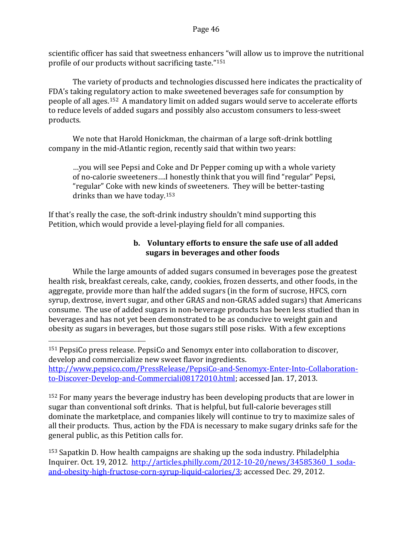scientific officer has said that sweetness enhancers "will allow us to improve the nutritional profile of our products without sacrificing taste."[151](#page-46-1)

The variety of products and technologies discussed here indicates the practicality of FDA's taking regulatory action to make sweetened beverages safe for consumption by people of all ages.[152](#page-46-2) A mandatory limit on added sugars would serve to accelerate efforts to reduce levels of added sugars and possibly also accustom consumers to less-sweet products.

We note that Harold Honickman, the chairman of a large soft-drink bottling company in the mid-Atlantic region, recently said that within two years:

…you will see Pepsi and Coke and Dr Pepper coming up with a whole variety of no-calorie sweeteners….I honestly think that you will find "regular" Pepsi, "regular" Coke with new kinds of sweeteners. They will be better-tasting drinks than we have today.[153](#page-46-3) 

<span id="page-46-0"></span>If that's really the case, the soft-drink industry shouldn't mind supporting this Petition, which would provide a level-playing field for all companies.

# **b. Voluntary efforts to ensure the safe use of all added sugars in beverages and other foods**

While the large amounts of added sugars consumed in beverages pose the greatest health risk, breakfast cereals, cake, candy, cookies, frozen desserts, and other foods, in the aggregate, provide more than half the added sugars (in the form of sucrose, HFCS, corn syrup, dextrose, invert sugar, and other GRAS and non-GRAS added sugars) that Americans consume. The use of added sugars in non-beverage products has been less studied than in beverages and has not yet been demonstrated to be as conducive to weight gain and obesity as sugars in beverages, but those sugars still pose risks. With a few exceptions

<span id="page-46-1"></span><sup>151</sup> PepsiCo press release. PepsiCo and Senomyx enter into collaboration to discover, develop and commercialize new sweet flavor ingredients. i<br>I

[http://www.pepsico.com/PressRelease/PepsiCo-and-Senomyx-Enter-Into-Collaboration](http://www.pepsico.com/PressRelease/PepsiCo-and-Senomyx-Enter-Into-Collaboration-to-Discover-Develop-and-Commerciali08172010.html)[to-Discover-Develop-and-Commerciali08172010.html;](http://www.pepsico.com/PressRelease/PepsiCo-and-Senomyx-Enter-Into-Collaboration-to-Discover-Develop-and-Commerciali08172010.html) accessed Jan. 17, 2013.

<span id="page-46-2"></span><sup>152</sup> For many years the beverage industry has been developing products that are lower in sugar than conventional soft drinks. That is helpful, but full-calorie beverages still dominate the marketplace, and companies likely will continue to try to maximize sales of all their products. Thus, action by the FDA is necessary to make sugary drinks safe for the general public, as this Petition calls for.

<span id="page-46-3"></span><sup>153</sup> Sapatkin D. How health campaigns are shaking up the soda industry. Philadelphia Inquirer. Oct. 19, 2012. [http://articles.philly.com/2012-10-20/news/34585360\\_1\\_soda](http://articles.philly.com/2012-10-20/news/34585360_1_soda-and-obesity-high-fructose-corn-syrup-liquid-calories/3)[and-obesity-high-fructose-corn-syrup-liquid-calories/3;](http://articles.philly.com/2012-10-20/news/34585360_1_soda-and-obesity-high-fructose-corn-syrup-liquid-calories/3) accessed Dec. 29, 2012.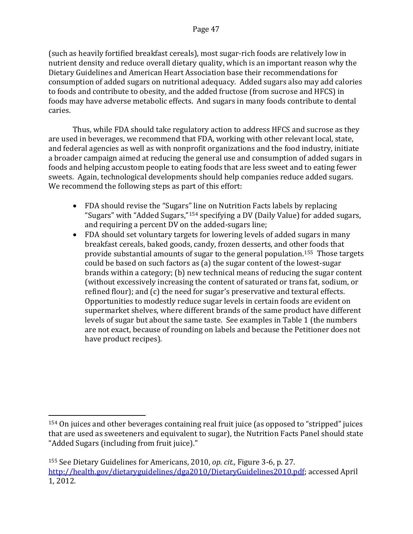(such as heavily fortified breakfast cereals), most sugar-rich foods are relatively low in nutrient density and reduce overall dietary quality, which is an important reason why the Dietary Guidelines and American Heart Association base their recommendations for consumption of added sugars on nutritional adequacy. Added sugars also may add calories to foods and contribute to obesity, and the added fructose (from sucrose and HFCS) in foods may have adverse metabolic effects. And sugars in many foods contribute to dental caries.

Thus, while FDA should take regulatory action to address HFCS and sucrose as they are used in beverages, we recommend that FDA, working with other relevant local, state, and federal agencies as well as with nonprofit organizations and the food industry, initiate a broader campaign aimed at reducing the general use and consumption of added sugars in foods and helping accustom people to eating foods that are less sweet and to eating fewer sweets. Again, technological developments should help companies reduce added sugars. We recommend the following steps as part of this effort:

- FDA should revise the "Sugars" line on Nutrition Facts labels by replacing "Sugars" with "Added Sugars,"[154](#page-47-0) specifying a DV (Daily Value) for added sugars, and requiring a percent DV on the added-sugars line;
- FDA should set voluntary targets for lowering levels of added sugars in many breakfast cereals, baked goods, candy, frozen desserts, and other foods that provide substantial amounts of sugar to the general population.[155](#page-47-1) Those targets could be based on such factors as (a) the sugar content of the lowest-sugar brands within a category; (b) new technical means of reducing the sugar content (without excessively increasing the content of saturated or trans fat, sodium, or refined flour); and (c) the need for sugar's preservative and textural effects. Opportunities to modestly reduce sugar levels in certain foods are evident on supermarket shelves, where different brands of the same product have different levels of sugar but about the same taste. See examples in Table 1 (the numbers are not exact, because of rounding on labels and because the Petitioner does not have product recipes).

<span id="page-47-0"></span><sup>154</sup> On juices and other beverages containing real fruit juice (as opposed to "stripped" juices that are used as sweeteners and equivalent to sugar), the Nutrition Facts Panel should state "Added Sugars (including from fruit juice)." i<br>I

<span id="page-47-1"></span><sup>155</sup> See Dietary Guidelines for Americans, 2010, *op. cit.,* Figure 3-6, p. 27. [http://health.gov/dietaryguidelines/dga2010/DietaryGuidelines2010.pdf;](http://health.gov/dietaryguidelines/dga2010/DietaryGuidelines2010.pdf) accessed April 1, 2012.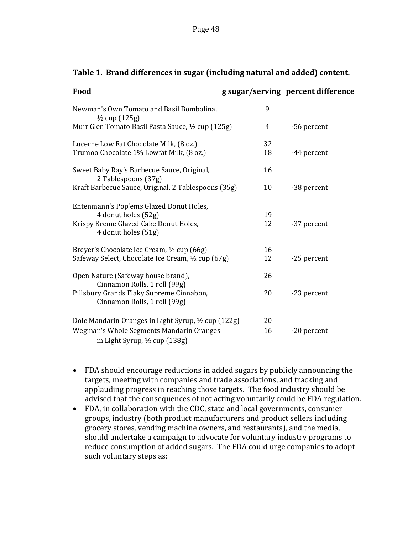| <b>Food</b>                                                                                                                    |          | <u>g sugar/serving percent difference</u> |
|--------------------------------------------------------------------------------------------------------------------------------|----------|-------------------------------------------|
| Newman's Own Tomato and Basil Bombolina,<br>$\frac{1}{2}$ cup (125g)                                                           | 9        |                                           |
| Muir Glen Tomato Basil Pasta Sauce, 1/2 cup (125g)                                                                             | 4        | -56 percent                               |
| Lucerne Low Fat Chocolate Milk, (8 oz.)                                                                                        | 32       |                                           |
| Trumoo Chocolate 1% Lowfat Milk, (8 oz.)                                                                                       | 18       | -44 percent                               |
| Sweet Baby Ray's Barbecue Sauce, Original,<br>2 Tablespoons (37g)                                                              | 16       |                                           |
| Kraft Barbecue Sauce, Original, 2 Tablespoons (35g)                                                                            | 10       | -38 percent                               |
| Entenmann's Pop'ems Glazed Donut Holes,<br>4 donut holes (52g)<br>Krispy Kreme Glazed Cake Donut Holes,<br>4 donut holes (51g) | 19<br>12 | -37 percent                               |
| Breyer's Chocolate Ice Cream, ½ cup (66g)<br>Safeway Select, Chocolate Ice Cream, 1/2 cup (67g)                                | 16<br>12 | -25 percent                               |
| Open Nature (Safeway house brand),<br>Cinnamon Rolls, 1 roll (99g)                                                             | 26       |                                           |
| Pillsbury Grands Flaky Supreme Cinnabon,<br>Cinnamon Rolls, 1 roll (99g)                                                       | 20       | -23 percent                               |
| Dole Mandarin Oranges in Light Syrup, 1/2 cup (122g)                                                                           | 20       |                                           |
| Wegman's Whole Segments Mandarin Oranges<br>in Light Syrup, $\frac{1}{2}$ cup (138g)                                           | 16       | -20 percent                               |

#### **Table 1. Brand differences in sugar (including natural and added) content.**

- FDA should encourage reductions in added sugars by publicly announcing the targets, meeting with companies and trade associations, and tracking and applauding progress in reaching those targets. The food industry should be advised that the consequences of not acting voluntarily could be FDA regulation.
- FDA, in collaboration with the CDC, state and local governments, consumer groups, industry (both product manufacturers and product sellers including grocery stores, vending machine owners, and restaurants), and the media, should undertake a campaign to advocate for voluntary industry programs to reduce consumption of added sugars. The FDA could urge companies to adopt such voluntary steps as: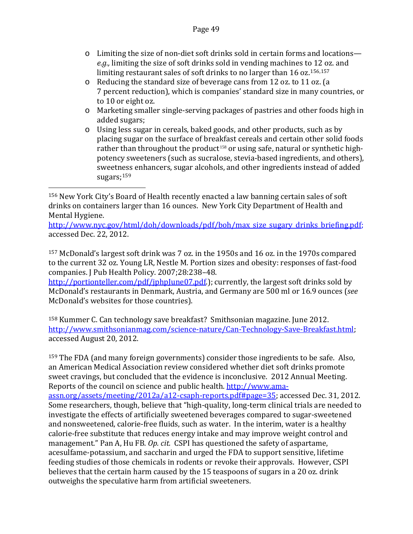- o Limiting the size of non-diet soft drinks sold in certain forms and locations *e.g.,* limiting the size of soft drinks sold in vending machines to 12 oz. and limiting restaurant sales of soft drinks to no larger than 16 oz.<sup>[156,](#page-49-0)[157](#page-49-1)</sup>
- o Reducing the standard size of beverage cans from 12 oz. to 11 oz. (a 7 percent reduction), which is companies' standard size in many countries, or to 10 or eight oz.
- o Marketing smaller single-serving packages of pastries and other foods high in added sugars;
- o Using less sugar in cereals, baked goods, and other products, such as by placing sugar on the surface of breakfast cereals and certain other solid foods rather than throughout the product<sup>[158](#page-49-2)</sup> or using safe, natural or synthetic highpotency sweeteners (such as sucralose, stevia-based ingredients, and others), sweetness enhancers, sugar alcohols, and other ingredients instead of added sugars;<sup>[159](#page-49-3)</sup>

<span id="page-49-0"></span><sup>156</sup> New York City's Board of Health recently enacted a law banning certain sales of soft drinks on containers larger than 16 ounces. New York City Department of Health and Mental Hygiene. I

[http://www.nyc.gov/html/doh/downloads/pdf/boh/max\\_size\\_sugary\\_drinks\\_briefing.pdf;](http://www.nyc.gov/html/doh/downloads/pdf/boh/max_size_sugary_drinks_briefing.pdf) accessed Dec. 22, 2012.

<span id="page-49-1"></span><sup>157</sup> McDonald's largest soft drink was 7 oz. in the 1950s and 16 oz. in the 1970s compared to the current 32 oz. Young LR, Nestle M. Portion sizes and obesity: responses of fast-food companies. J Pub Health Policy. 2007;28:238–48.

[http://portionteller.com/pdf/jphpJune07.pdf.](http://portionteller.com/pdf/jphpJune07.pdf)); currently, the largest soft drinks sold by McDonald's restaurants in Denmark, Austria, and Germany are 500 ml or 16.9 ounces (*see* McDonald's websites for those countries).

<span id="page-49-2"></span><sup>158</sup> Kummer C. Can technology save breakfast? Smithsonian magazine. June 2012. [http://www.smithsonianmag.com/science-nature/Can-Technology-Save-Breakfast.html;](http://www.smithsonianmag.com/science-nature/Can-Technology-Save-Breakfast.html) accessed August 20, 2012.

<span id="page-49-3"></span><sup>159</sup> The FDA (and many foreign governments) consider those ingredients to be safe. Also, an American Medical Association review considered whether diet soft drinks promote sweet cravings, but concluded that the evidence is inconclusive. 2012 Annual Meeting. Reports of the council on science and public health. [http://www.ama-](http://www.ama-assn.org/assets/meeting/2012a/a12-csaph-reports.pdf%23page=35)

[assn.org/assets/meeting/2012a/a12-csaph-reports.pdf#page=35;](http://www.ama-assn.org/assets/meeting/2012a/a12-csaph-reports.pdf%23page=35) accessed Dec. 31, 2012. Some researchers, though, believe that "high-quality, long-term clinical trials are needed to investigate the effects of artificially sweetened beverages compared to sugar-sweetened and nonsweetened, calorie-free fluids, such as water. In the interim, water is a healthy calorie-free substitute that reduces energy intake and may improve weight control and management." Pan A, Hu FB. *Op. cit.* CSPI has questioned the safety of aspartame, acesulfame-potassium, and saccharin and urged the FDA to support sensitive, lifetime feeding studies of those chemicals in rodents or revoke their approvals. However, CSPI believes that the certain harm caused by the 15 teaspoons of sugars in a 20 oz. drink outweighs the speculative harm from artificial sweeteners.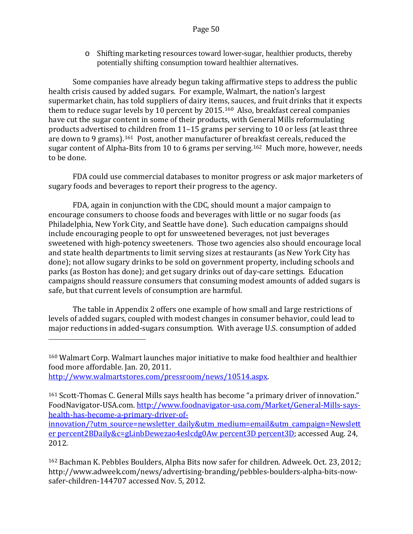o Shifting marketing resources toward lower-sugar, healthier products, thereby potentially shifting consumption toward healthier alternatives.

Some companies have already begun taking affirmative steps to address the public health crisis caused by added sugars. For example, Walmart, the nation's largest supermarket chain, has told suppliers of dairy items, sauces, and fruit drinks that it expects them to reduce sugar levels by 10 percent by 2015.[160](#page-50-0) Also, breakfast cereal companies have cut the sugar content in some of their products, with General Mills reformulating products advertised to children from 11–15 grams per serving to 10 or less (at least three are down to 9 grams).[161](#page-50-1) Post, another manufacturer of br[eak](#page-50-2)fast cereals, reduced the sugar content of Alpha-Bits from 10 to 6 grams per serving.<sup>162</sup> Much more, however, needs to be done.

FDA could use commercial databases to monitor progress or ask major marketers of sugary foods and beverages to report their progress to the agency.

FDA, again in conjunction with the CDC, should mount a major campaign to encourage consumers to choose foods and beverages with little or no sugar foods (as Philadelphia, New York City, and Seattle have done). Such education campaigns should include encouraging people to opt for unsweetened beverages, not just beverages sweetened with high-potency sweeteners. Those two agencies also should encourage local and state health departments to limit serving sizes at restaurants (as New York City has done); not allow sugary drinks to be sold on government property, including schools and parks (as Boston has done); and get sugary drinks out of day-care settings. Education campaigns should reassure consumers that consuming modest amounts of added sugars is safe, but that current levels of consumption are harmful.

The table in Appendix 2 offers one example of how small and large restrictions of levels of added sugars, coupled with modest changes in consumer behavior, could lead to major reductions in added-sugars consumption. With average U.S. consumption of added

i<br>I

<span id="page-50-2"></span><sup>162</sup> Bachman K. Pebbles Boulders, Alpha Bits now safer for children. Adweek. Oct. 23, 2012; http://www.adweek.com/news/advertising-branding/pebbles-boulders-alpha-bits-nowsafer-children-144707 accessed Nov. 5, 2012.

<span id="page-50-0"></span><sup>160</sup> Walmart Corp. Walmart launches major initiative to make food healthier and healthier food more affordable. Jan. 20, 2011.

[http://www.walmartstores.com/pressroom/news/10514.aspx.](http://www.walmartstores.com/pressroom/news/10514.aspx)

<span id="page-50-1"></span><sup>161</sup> Scott-Thomas C. General Mills says health has become "a primary driver of innovation." FoodNavigator-USA.com. [http://www.foodnavigator-usa.com/Market/General-Mills-says](http://www.foodnavigator-usa.com/Market/General-Mills-says-health-has-become-a-primary-driver-of-innovation/?utm_source=newsletter_daily&utm_medium=email&utm_campaign=Newsletter%2BDaily&c=gLinbDewezao4eslcdg0Aw%3D%3D)[health-has-become-a-primary-driver-of-](http://www.foodnavigator-usa.com/Market/General-Mills-says-health-has-become-a-primary-driver-of-innovation/?utm_source=newsletter_daily&utm_medium=email&utm_campaign=Newsletter%2BDaily&c=gLinbDewezao4eslcdg0Aw%3D%3D)

[innovation/?utm\\_source=newsletter\\_daily&utm\\_medium=email&utm\\_campaign=Newslett](http://www.foodnavigator-usa.com/Market/General-Mills-says-health-has-become-a-primary-driver-of-innovation/?utm_source=newsletter_daily&utm_medium=email&utm_campaign=Newsletter%2BDaily&c=gLinbDewezao4eslcdg0Aw%3D%3D) [er percent2BDaily&c=gLinbDewezao4eslcdg0Aw percent3D percent3D;](http://www.foodnavigator-usa.com/Market/General-Mills-says-health-has-become-a-primary-driver-of-innovation/?utm_source=newsletter_daily&utm_medium=email&utm_campaign=Newsletter%2BDaily&c=gLinbDewezao4eslcdg0Aw%3D%3D) accessed Aug. 24, 2012.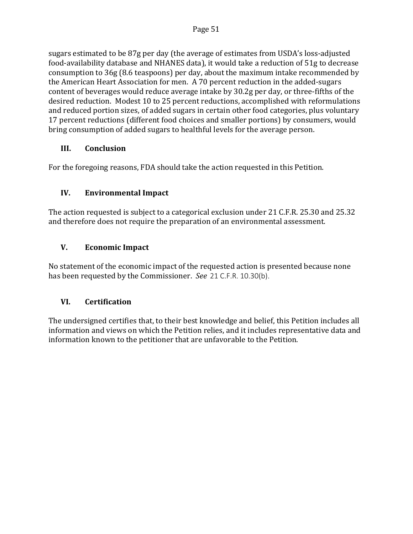sugars estimated to be 87g per day (the average of estimates from USDA's loss-adjusted food-availability database and NHANES data), it would take a reduction of 51g to decrease consumption to 36g (8.6 teaspoons) per day, about the maximum intake recommended by the American Heart Association for men. A 70 percent reduction in the added-sugars content of beverages would reduce average intake by 30.2g per day, or three-fifths of the desired reduction. Modest 10 to 25 percent reductions, accomplished with reformulations and reduced portion sizes, of added sugars in certain other food categories, plus voluntary 17 percent reductions (different food choices and smaller portions) by consumers, would bring consumption of added sugars to healthful levels for the average person.

# <span id="page-51-0"></span>**III. Conclusion**

For the foregoing reasons, FDA should take the action requested in this Petition.

# <span id="page-51-1"></span>**IV. Environmental Impact**

The action requested is subject to a categorical exclusion under 21 C.F.R. 25.30 and 25.32 and therefore does not require the preparation of an environmental assessment.

# <span id="page-51-2"></span>**V. Economic Impact**

No statement of the economic impact of the requested action is presented because none has been requested by the Commissioner. *See* 21 C.F.R. 10.30(b).

# <span id="page-51-3"></span>**VI. Certification**

The undersigned certifies that, to their best knowledge and belief, this Petition includes all information and views on which the Petition relies, and it includes representative data and information known to the petitioner that are unfavorable to the Petition.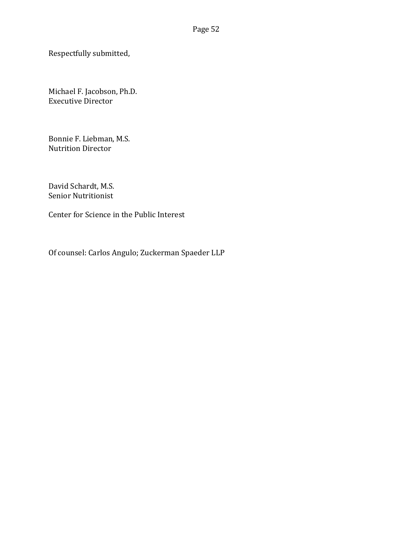Respectfully submitted,

Michael F. Jacobson, Ph.D. Executive Director

Bonnie F. Liebman, M.S. Nutrition Director

David Schardt, M.S. Senior Nutritionist

Center for Science in the Public Interest

Of counsel: Carlos Angulo; Zuckerman Spaeder LLP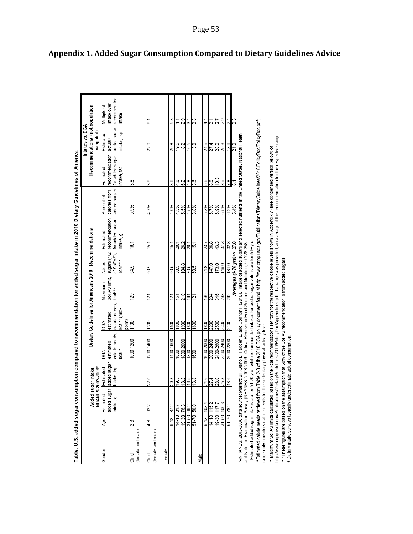<span id="page-53-0"></span>

| Table: U.S. added sugar consumption compared to recommendation for added sugar intake in 2010 Dietary Guidelines of America |                |             |                   |                |                                                         |                            |                           |                     |               |                                                                                                                                          |                                 |                |
|-----------------------------------------------------------------------------------------------------------------------------|----------------|-------------|-------------------|----------------|---------------------------------------------------------|----------------------------|---------------------------|---------------------|---------------|------------------------------------------------------------------------------------------------------------------------------------------|---------------------------------|----------------|
|                                                                                                                             |                |             |                   |                |                                                         |                            |                           |                     |               |                                                                                                                                          | Intakes vs. DGA                 |                |
|                                                                                                                             |                | Added       | sugar intake,     |                | Dietary Guidelines for Americans 2010 - Recommendations |                            |                           |                     |               |                                                                                                                                          | Recommendations (not population |                |
|                                                                                                                             |                |             | NHANES 2003-2006* |                |                                                         |                            |                           |                     |               |                                                                                                                                          | weighted)                       |                |
| Gender                                                                                                                      | ą6k            | Estimated   | Estimated         | DGA            | DGA                                                     | Maximum                    | Added                     | Estimated           | Percent of    | Estimated                                                                                                                                | Estimated                       | Multiple of    |
|                                                                                                                             |                | added sugar | added sugar       | estimated      | estimated                                               | SoFAS limit,               | sugars (1/2               | recommendation      | calories from | recommendation                                                                                                                           | lactual+                        | intake over    |
|                                                                                                                             |                | intake, g   | intake, tsp       | calorie needs, | calorie needs,                                          | kcal***                    | of SoFAS),                | for added sugar     | added sugars  | for added sugar                                                                                                                          | added sugar                     | recommended    |
|                                                                                                                             |                |             |                   | kcal**         | kcal** (mid-<br>point)                                  |                            | kcal****                  | intake, g           |               | ntake, tsp                                                                                                                               | intake, tsp                     | intake         |
| nild<br>Shild                                                                                                               | 23             |             |                   | 1000-1200      | 1100                                                    | 129                        | 64.5                      | <u>ہے</u>           | 5.9%          | $\frac{8}{3}$                                                                                                                            |                                 |                |
| (female and male)                                                                                                           |                |             |                   |                |                                                         |                            |                           |                     |               |                                                                                                                                          |                                 |                |
| Child                                                                                                                       | $\frac{9}{4}$  | 92.2        | 22.0              | 1200-1400      | 1300                                                    | 121                        | 60.5                      | 15.1                | 4.7%          | 3.6                                                                                                                                      | 22.0                            | $\overline{6}$ |
| (female and male)                                                                                                           |                |             |                   |                |                                                         |                            |                           |                     |               |                                                                                                                                          |                                 |                |
| Female                                                                                                                      |                |             |                   |                |                                                         |                            |                           |                     |               |                                                                                                                                          |                                 |                |
|                                                                                                                             | $9 - 13$       | 87.2        | 20.8              | 1400-1600      | 1500                                                    | 121                        | 60.5                      | 흐                   | 4.0%          | 3.6                                                                                                                                      | 20.8                            | 58             |
|                                                                                                                             | $14 - 18$ 81.7 |             | 19.5              | 1800           | 1800                                                    | 161                        | 80.5                      | 20.1                | 4.5%          | 4.8                                                                                                                                      | 19.5                            | $\frac{1}{4}$  |
|                                                                                                                             | 19-30 76.3     |             | $\frac{2}{165}$   | 1800-2000      | $rac{18}{180}$                                          | 210                        | 104.8                     | $\frac{26.2}{20.1}$ | 5.5%          | 62                                                                                                                                       | 18.2                            | 2.9            |
|                                                                                                                             | 31-50 69.2     |             |                   | 1800           |                                                         | $\widetilde{\mathfrak{b}}$ | 80.5                      |                     | 4.5%          | 4.8                                                                                                                                      | 16.5                            | 34             |
|                                                                                                                             | 51-70 58.0     |             | 13.8              | 1600           | 1600                                                    | 121                        | 60.5                      | 15.1                | 3.8%          | 3.6                                                                                                                                      | 13.8                            | $\frac{8}{3}$  |
| Male                                                                                                                        |                |             |                   |                |                                                         |                            |                           |                     |               |                                                                                                                                          |                                 |                |
|                                                                                                                             | $9 - 13$       | 103.4       | 24.6              | 1600-2000      | 1800                                                    | $\frac{60}{20}$            | 94.8                      | 23.7                | 5.3%          | 5.6                                                                                                                                      | 24.6                            | 4.4            |
|                                                                                                                             | 14-18 115.2    |             | 27.4              | 2000-2400      | 2200                                                    | 294                        | 147.0                     | 36.8                | 6.7%          | $\frac{8}{8}$                                                                                                                            | 27.4                            | $\frac{1}{2}$  |
|                                                                                                                             | 19-30 117.     |             | 28.0              | 2400-2600      | 2500                                                    | 346                        | 173.0                     | 43.3                | 6.9%          | 10.3                                                                                                                                     | 28.0                            | 27             |
|                                                                                                                             | 31-50 106.3    |             | 25.3              | 2200-2400      | 2300                                                    | 298                        | 149.0                     | 37.3                | 6.5%          | ္သ                                                                                                                                       | 25.3                            | 2.9            |
|                                                                                                                             | 51-70 78.2     |             | 18.6              | 2000-2200      | 2100                                                    | 262                        | 131.0                     | 32.8                | 6.2%          | 7.8                                                                                                                                      | 18.6                            | $\frac{4}{2}$  |
|                                                                                                                             |                |             |                   |                |                                                         |                            | Averages (9.70 yrs)>> 270 |                     | 5.4%          |                                                                                                                                          | 21.3                            | 33             |
| "-- NHANES, 2003-3006 data source:                                                                                          |                |             |                   |                |                                                         |                            |                           |                     |               | Marriott BP, Olsho L, Hadden L, and Connor P (2010). Intake of added sugars and selected nutrients in the United States, National Health |                                 |                |
| and Nutrition Examination Survey (NHANES) 2003-2006. Critical Reviews in Food Science and Nutrition, 50:228-258             |                |             |                   |                |                                                         |                            |                           |                     |               |                                                                                                                                          |                                 |                |

-Estimated added sugar intakes are for 51-70 y.o., while recommended intakes for added sugar values are for 51+ y.o.

\*\*Estimated calorie needs retrieved from Table 2-3 of the 2010 DGA policy document found at http://www.cnpp.usda.gov/Publications/DietaryOdidelines/2010/PolicyDoc/PolicyDoc.pdf; range only considers calorie needs for the sedentary physical activity level

\*\*\*Maximum SoFAS limits calculated based on the kcal reommendations set forth for the respective calorie levels shown in Appendix 7 (see condensed version below) of<br>http://www.cnpp.usda.gov/Publications/DietaryGuidelines/2